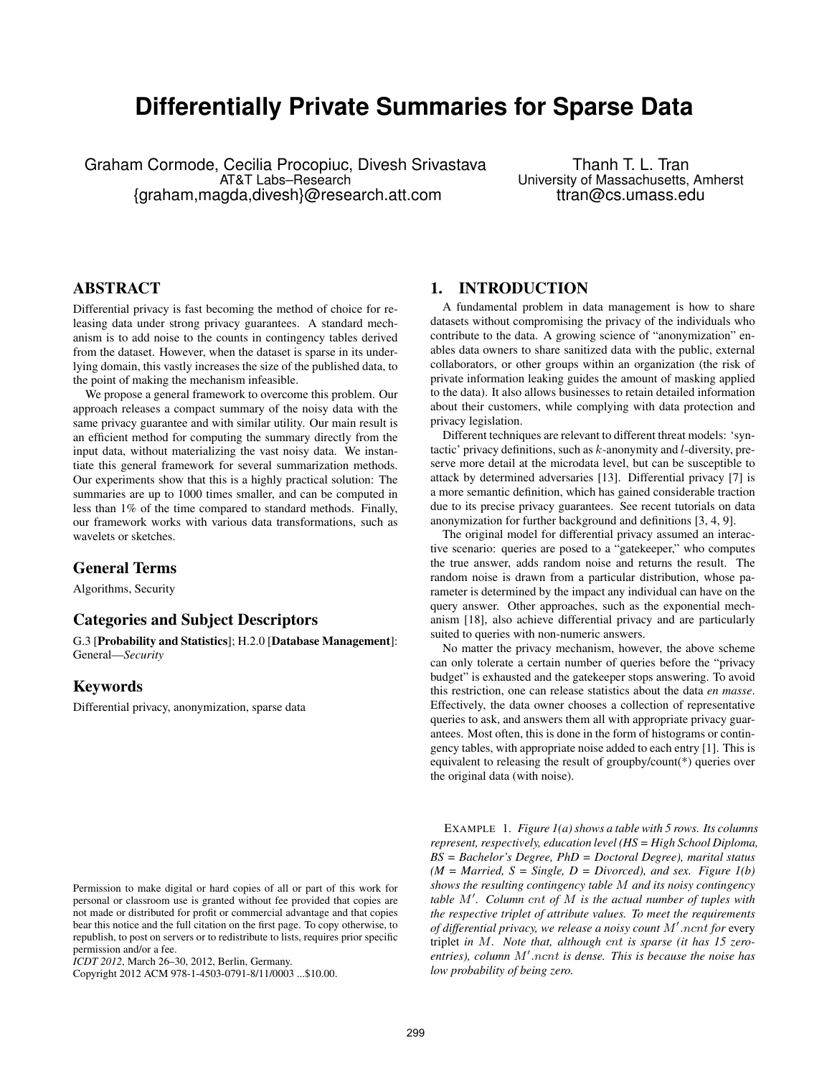# **Differentially Private Summaries for Sparse Data**

Graham Cormode, Cecilia Procopiuc, Divesh Srivastava AT&T Labs–Research {graham,magda,divesh}@research.att.com

Thanh T. L. Tran University of Massachusetts, Amherst ttran@cs.umass.edu

# ABSTRACT

Differential privacy is fast becoming the method of choice for releasing data under strong privacy guarantees. A standard mechanism is to add noise to the counts in contingency tables derived from the dataset. However, when the dataset is sparse in its underlying domain, this vastly increases the size of the published data, to the point of making the mechanism infeasible.

We propose a general framework to overcome this problem. Our approach releases a compact summary of the noisy data with the same privacy guarantee and with similar utility. Our main result is an efficient method for computing the summary directly from the input data, without materializing the vast noisy data. We instantiate this general framework for several summarization methods. Our experiments show that this is a highly practical solution: The summaries are up to 1000 times smaller, and can be computed in less than 1% of the time compared to standard methods. Finally, our framework works with various data transformations, such as wavelets or sketches.

## General Terms

Algorithms, Security

## Categories and Subject Descriptors

G.3 [Probability and Statistics]; H.2.0 [Database Management]: General—*Security*

## Keywords

Differential privacy, anonymization, sparse data

Copyright 2012 ACM 978-1-4503-0791-8/11/0003 ...\$10.00.

#### 1. INTRODUCTION

A fundamental problem in data management is how to share datasets without compromising the privacy of the individuals who contribute to the data. A growing science of "anonymization" enables data owners to share sanitized data with the public, external collaborators, or other groups within an organization (the risk of private information leaking guides the amount of masking applied to the data). It also allows businesses to retain detailed information about their customers, while complying with data protection and privacy legislation.

Different techniques are relevant to different threat models: 'syntactic' privacy definitions, such as  $k$ -anonymity and  $l$ -diversity, preserve more detail at the microdata level, but can be susceptible to attack by determined adversaries [13]. Differential privacy [7] is a more semantic definition, which has gained considerable traction due to its precise privacy guarantees. See recent tutorials on data anonymization for further background and definitions [3, 4, 9].

The original model for differential privacy assumed an interactive scenario: queries are posed to a "gatekeeper," who computes the true answer, adds random noise and returns the result. The random noise is drawn from a particular distribution, whose parameter is determined by the impact any individual can have on the query answer. Other approaches, such as the exponential mechanism [18], also achieve differential privacy and are particularly suited to queries with non-numeric answers.

No matter the privacy mechanism, however, the above scheme can only tolerate a certain number of queries before the "privacy budget" is exhausted and the gatekeeper stops answering. To avoid this restriction, one can release statistics about the data *en masse*. Effectively, the data owner chooses a collection of representative queries to ask, and answers them all with appropriate privacy guarantees. Most often, this is done in the form of histograms or contingency tables, with appropriate noise added to each entry [1]. This is equivalent to releasing the result of groupby/count(\*) queries over the original data (with noise).

EXAMPLE 1. *Figure 1(a) shows a table with 5 rows. Its columns represent, respectively, education level (HS = High School Diploma, BS = Bachelor's Degree, PhD = Doctoral Degree), marital status*  $(M = \text{Married}, S = \text{Single}, D = \text{Divorced})$ , and sex. Figure  $I(b)$ *shows the resulting contingency table* M *and its noisy contingency table* M<sup>0</sup> *. Column* cnt *of* M *is the actual number of tuples with the respective triplet of attribute values. To meet the requirements* of differential privacy, we release a noisy count M'.ncnt for every triplet *in* M*. Note that, although* cnt *is sparse (it has 15 zero*entries), column M'.ncnt *is dense. This is because the noise has low probability of being zero.*

Permission to make digital or hard copies of all or part of this work for personal or classroom use is granted without fee provided that copies are not made or distributed for profit or commercial advantage and that copies bear this notice and the full citation on the first page. To copy otherwise, to republish, to post on servers or to redistribute to lists, requires prior specific permission and/or a fee.

*ICDT 2012*, March 26–30, 2012, Berlin, Germany.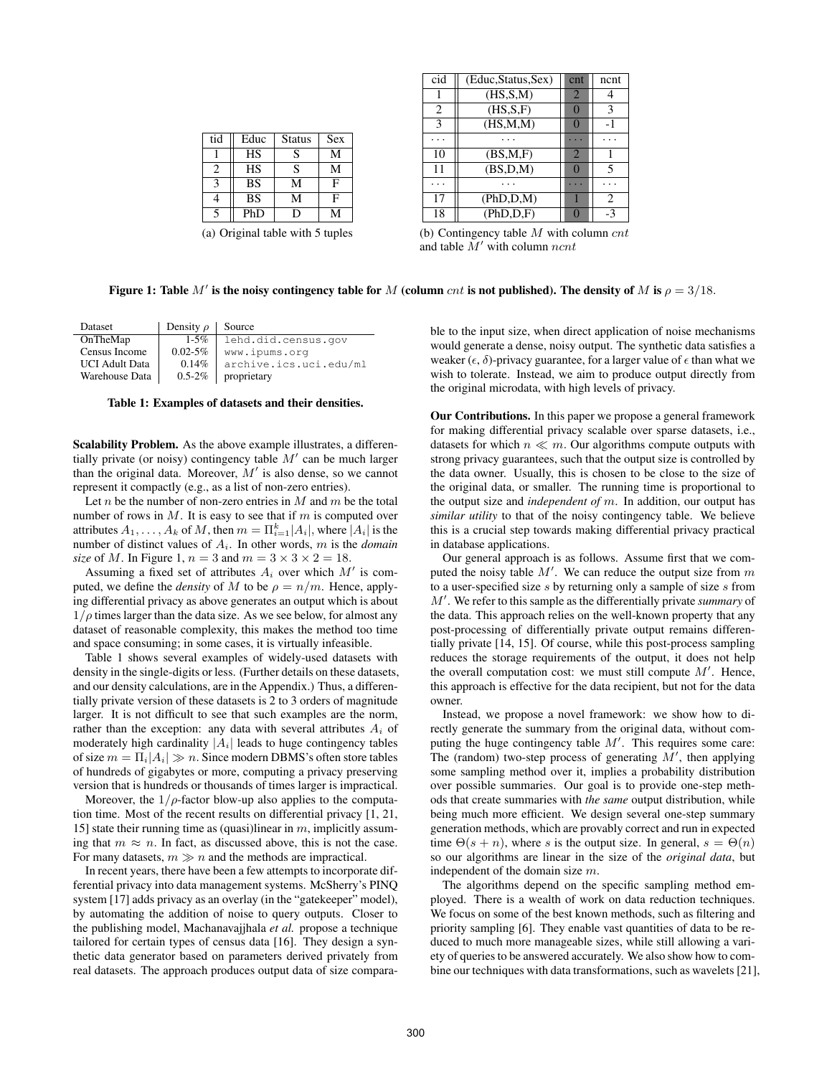| tid           | Educ      | <b>Status</b> | <b>Sex</b> |
|---------------|-----------|---------------|------------|
|               | <b>HS</b> | S             | М          |
| $\mathcal{L}$ | HS        | S             | М          |
|               | <b>BS</b> | м             | F          |
|               | <b>BS</b> |               | F          |
|               | PhD       | Ð             |            |

| cid | (Educ, Status, Sex) | cnt            | ncnt |
|-----|---------------------|----------------|------|
|     | (HS, S, M)          | $\overline{2}$ |      |
| 2   | (HS,S,F)            |                | 3    |
| 3   | (HS, M, M)          |                |      |
|     |                     |                |      |
| 10  | (BS, M, F)          | $\overline{2}$ |      |
| 11  | (BS,D,M)            |                | 5    |
|     |                     |                |      |
| 17  | (PhD, D, M)         |                | 2    |
| 18  | (PhD,D,F)           |                | -3   |
|     |                     |                |      |

(a) Original table with 5 tuples

(b) Contingency table  $M$  with column  $cnt$ and table  $M'$  with column ncnt

|  | Figure 1: Table M' is the noisy contingency table for M (column cnt is not published). The density of M is $\rho = 3/18$ . |  |  |  |
|--|----------------------------------------------------------------------------------------------------------------------------|--|--|--|
|--|----------------------------------------------------------------------------------------------------------------------------|--|--|--|

| Dataset               | Density $\rho$   Source |                        |
|-----------------------|-------------------------|------------------------|
| OnTheMap              | $1 - 5\%$               | lehd.did.census.qov    |
| Census Income         | $0.02 - 5\%$            | www.ipums.org          |
| <b>UCI</b> Adult Data | 0.14%                   | archive.ics.uci.edu/ml |
| Warehouse Data        | $0.5 - 2\%$             | proprietary            |

Table 1: Examples of datasets and their densities.

Scalability Problem. As the above example illustrates, a differentially private (or noisy) contingency table  $M'$  can be much larger than the original data. Moreover,  $M'$  is also dense, so we cannot represent it compactly (e.g., as a list of non-zero entries).

Let  $n$  be the number of non-zero entries in  $M$  and  $m$  be the total number of rows in  $M$ . It is easy to see that if  $m$  is computed over attributes  $A_1, \ldots, A_k$  of M, then  $m = \prod_{i=1}^k |A_i|$ , where  $|A_i|$  is the number of distinct values of Ai. In other words, m is the *domain size* of M. In Figure 1,  $n = 3$  and  $m = 3 \times 3 \times 2 = 18$ .

Assuming a fixed set of attributes  $A_i$  over which  $M'$  is computed, we define the *density* of M to be  $\rho = n/m$ . Hence, applying differential privacy as above generates an output which is about  $1/\rho$  times larger than the data size. As we see below, for almost any dataset of reasonable complexity, this makes the method too time and space consuming; in some cases, it is virtually infeasible.

Table 1 shows several examples of widely-used datasets with density in the single-digits or less. (Further details on these datasets, and our density calculations, are in the Appendix.) Thus, a differentially private version of these datasets is 2 to 3 orders of magnitude larger. It is not difficult to see that such examples are the norm, rather than the exception: any data with several attributes  $A_i$  of moderately high cardinality  $|A_i|$  leads to huge contingency tables of size  $m = \prod_i |A_i| \gg n$ . Since modern DBMS's often store tables of hundreds of gigabytes or more, computing a privacy preserving version that is hundreds or thousands of times larger is impractical.

Moreover, the  $1/\rho$ -factor blow-up also applies to the computation time. Most of the recent results on differential privacy [1, 21, 15] state their running time as (quasi)linear in  $m$ , implicitly assuming that  $m \approx n$ . In fact, as discussed above, this is not the case. For many datasets,  $m \gg n$  and the methods are impractical.

In recent years, there have been a few attempts to incorporate differential privacy into data management systems. McSherry's PINQ system [17] adds privacy as an overlay (in the "gatekeeper" model), by automating the addition of noise to query outputs. Closer to the publishing model, Machanavajjhala *et al.* propose a technique tailored for certain types of census data [16]. They design a synthetic data generator based on parameters derived privately from real datasets. The approach produces output data of size comparable to the input size, when direct application of noise mechanisms would generate a dense, noisy output. The synthetic data satisfies a weaker ( $\epsilon$ ,  $\delta$ )-privacy guarantee, for a larger value of  $\epsilon$  than what we wish to tolerate. Instead, we aim to produce output directly from the original microdata, with high levels of privacy.

Our Contributions. In this paper we propose a general framework for making differential privacy scalable over sparse datasets, i.e., datasets for which  $n \ll m$ . Our algorithms compute outputs with strong privacy guarantees, such that the output size is controlled by the data owner. Usually, this is chosen to be close to the size of the original data, or smaller. The running time is proportional to the output size and *independent of* m. In addition, our output has *similar utility* to that of the noisy contingency table. We believe this is a crucial step towards making differential privacy practical in database applications.

Our general approach is as follows. Assume first that we computed the noisy table  $M'$ . We can reduce the output size from  $m$ to a user-specified size  $s$  by returning only a sample of size  $s$  from M'. We refer to this sample as the differentially private *summary* of the data. This approach relies on the well-known property that any post-processing of differentially private output remains differentially private [14, 15]. Of course, while this post-process sampling reduces the storage requirements of the output, it does not help the overall computation cost: we must still compute  $M'$ . Hence, this approach is effective for the data recipient, but not for the data owner.

Instead, we propose a novel framework: we show how to directly generate the summary from the original data, without computing the huge contingency table  $M'$ . This requires some care: The (random) two-step process of generating  $\dot{M}'$ , then applying some sampling method over it, implies a probability distribution over possible summaries. Our goal is to provide one-step methods that create summaries with *the same* output distribution, while being much more efficient. We design several one-step summary generation methods, which are provably correct and run in expected time  $\Theta(s + n)$ , where s is the output size. In general,  $s = \Theta(n)$ so our algorithms are linear in the size of the *original data*, but independent of the domain size m.

The algorithms depend on the specific sampling method employed. There is a wealth of work on data reduction techniques. We focus on some of the best known methods, such as filtering and priority sampling [6]. They enable vast quantities of data to be reduced to much more manageable sizes, while still allowing a variety of queries to be answered accurately. We also show how to combine our techniques with data transformations, such as wavelets [21],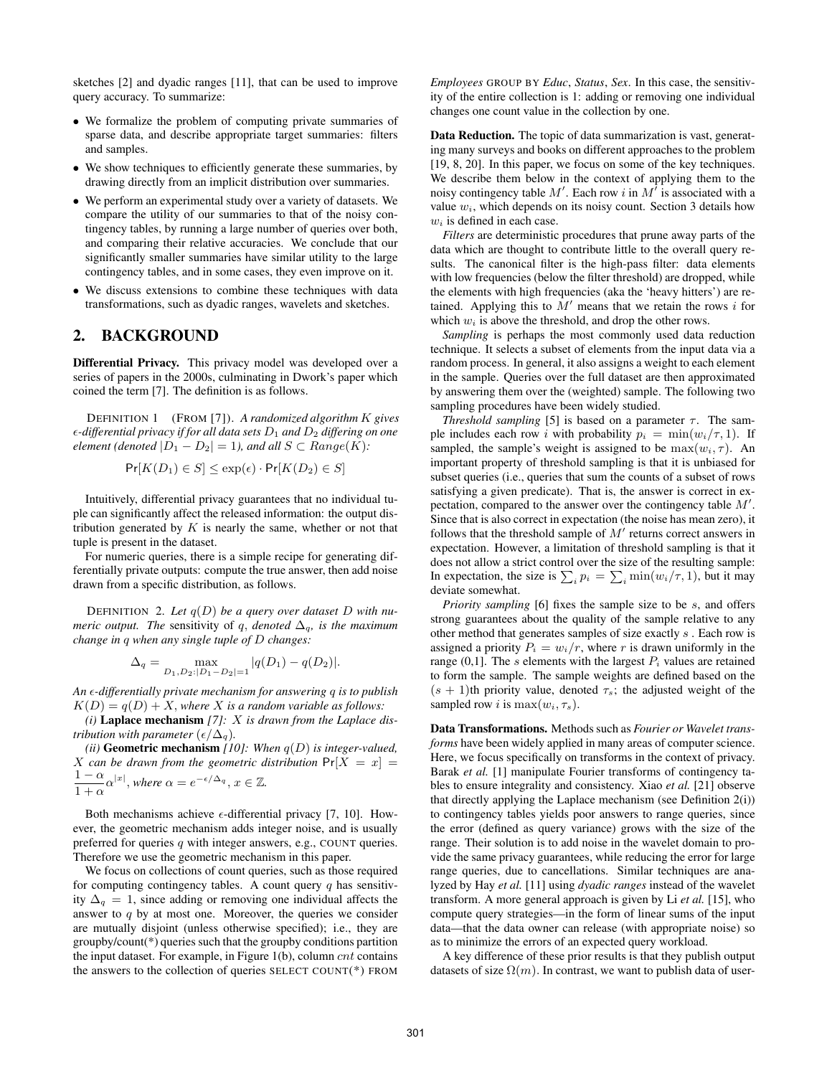sketches [2] and dyadic ranges [11], that can be used to improve query accuracy. To summarize:

- We formalize the problem of computing private summaries of sparse data, and describe appropriate target summaries: filters and samples.
- We show techniques to efficiently generate these summaries, by drawing directly from an implicit distribution over summaries.
- We perform an experimental study over a variety of datasets. We compare the utility of our summaries to that of the noisy contingency tables, by running a large number of queries over both, and comparing their relative accuracies. We conclude that our significantly smaller summaries have similar utility to the large contingency tables, and in some cases, they even improve on it.
- We discuss extensions to combine these techniques with data transformations, such as dyadic ranges, wavelets and sketches.

## 2. BACKGROUND

Differential Privacy. This privacy model was developed over a series of papers in the 2000s, culminating in Dwork's paper which coined the term [7]. The definition is as follows.

DEFINITION 1 (FROM [7]). *A randomized algorithm* K *gives -differential privacy if for all data sets* D<sup>1</sup> *and* D<sup>2</sup> *differing on one element (denoted*  $|D_1 - D_2| = 1$ *), and all*  $S \subset Range(K)$ *:* 

 $Pr[K(D_1) \in S] \leq exp(\epsilon) \cdot Pr[K(D_2) \in S]$ 

Intuitively, differential privacy guarantees that no individual tuple can significantly affect the released information: the output distribution generated by  $K$  is nearly the same, whether or not that tuple is present in the dataset.

For numeric queries, there is a simple recipe for generating differentially private outputs: compute the true answer, then add noise drawn from a specific distribution, as follows.

DEFINITION 2. Let  $q(D)$  be a query over dataset D with nu*meric output. The sensitivity of q, denoted*  $\Delta_q$ *, is the maximum change in* q *when any single tuple of* D *changes:*

$$
\Delta_q = \max_{D_1, D_2 : |D_1 - D_2| = 1} |q(D_1) - q(D_2)|.
$$

*An -differentially private mechanism for answering* q *is to publish*  $K(D) = q(D) + X$ , where X is a random variable as follows:

*(i)* Laplace mechanism *[7]:* X *is drawn from the Laplace distribution with parameter*  $(\epsilon/\Delta_q)$ *.* 

*(ii)* Geometric mechanism *[10]: When* q(D) *is integer-valued,* X can be drawn from the geometric distribution  $Pr[X = x] =$  $1 - \alpha$  $\frac{1-\alpha}{1+\alpha} \alpha^{|x|}$ , where  $\alpha = e^{-\epsilon/\Delta_q}$ ,  $x \in \mathbb{Z}$ .

Both mechanisms achieve  $\epsilon$ -differential privacy [7, 10]. However, the geometric mechanism adds integer noise, and is usually preferred for queries  $q$  with integer answers, e.g., COUNT queries. Therefore we use the geometric mechanism in this paper.

We focus on collections of count queries, such as those required for computing contingency tables. A count query  $q$  has sensitivity  $\Delta_q = 1$ , since adding or removing one individual affects the answer to  $q$  by at most one. Moreover, the queries we consider are mutually disjoint (unless otherwise specified); i.e., they are groupby/count(\*) queries such that the groupby conditions partition the input dataset. For example, in Figure  $1(b)$ , column *cnt* contains the answers to the collection of queries SELECT COUNT(\*) FROM *Employees* GROUP BY *Educ*, *Status*, *Sex*. In this case, the sensitivity of the entire collection is 1: adding or removing one individual changes one count value in the collection by one.

Data Reduction. The topic of data summarization is vast, generating many surveys and books on different approaches to the problem [19, 8, 20]. In this paper, we focus on some of the key techniques. We describe them below in the context of applying them to the noisy contingency table  $M'$ . Each row i in  $M'$  is associated with a value  $w_i$ , which depends on its noisy count. Section 3 details how  $w_i$  is defined in each case.

*Filters* are deterministic procedures that prune away parts of the data which are thought to contribute little to the overall query results. The canonical filter is the high-pass filter: data elements with low frequencies (below the filter threshold) are dropped, while the elements with high frequencies (aka the 'heavy hitters') are retained. Applying this to  $M'$  means that we retain the rows i for which  $w_i$  is above the threshold, and drop the other rows.

*Sampling* is perhaps the most commonly used data reduction technique. It selects a subset of elements from the input data via a random process. In general, it also assigns a weight to each element in the sample. Queries over the full dataset are then approximated by answering them over the (weighted) sample. The following two sampling procedures have been widely studied.

*Threshold sampling* [5] is based on a parameter  $\tau$ . The sample includes each row i with probability  $p_i = \min(w_i/\tau, 1)$ . If sampled, the sample's weight is assigned to be  $\max(w_i, \tau)$ . An important property of threshold sampling is that it is unbiased for subset queries (i.e., queries that sum the counts of a subset of rows satisfying a given predicate). That is, the answer is correct in expectation, compared to the answer over the contingency table  $M'$ . Since that is also correct in expectation (the noise has mean zero), it follows that the threshold sample of  $M'$  returns correct answers in expectation. However, a limitation of threshold sampling is that it does not allow a strict control over the size of the resulting sample: In expectation, the size is  $\sum_i p_i = \sum_i \min(w_i / \tau, 1)$ , but it may deviate somewhat.

*Priority sampling* [6] fixes the sample size to be s, and offers strong guarantees about the quality of the sample relative to any other method that generates samples of size exactly s . Each row is assigned a priority  $P_i = w_i/r$ , where r is drawn uniformly in the range  $(0,1]$ . The s elements with the largest  $P_i$  values are retained to form the sample. The sample weights are defined based on the  $(s + 1)$ th priority value, denoted  $\tau_s$ ; the adjusted weight of the sampled row i is  $\max(w_i, \tau_s)$ .

Data Transformations. Methods such as *Fourier or Wavelet transforms* have been widely applied in many areas of computer science. Here, we focus specifically on transforms in the context of privacy. Barak *et al.* [1] manipulate Fourier transforms of contingency tables to ensure integrality and consistency. Xiao *et al.* [21] observe that directly applying the Laplace mechanism (see Definition 2(i)) to contingency tables yields poor answers to range queries, since the error (defined as query variance) grows with the size of the range. Their solution is to add noise in the wavelet domain to provide the same privacy guarantees, while reducing the error for large range queries, due to cancellations. Similar techniques are analyzed by Hay *et al.* [11] using *dyadic ranges* instead of the wavelet transform. A more general approach is given by Li *et al.* [15], who compute query strategies—in the form of linear sums of the input data—that the data owner can release (with appropriate noise) so as to minimize the errors of an expected query workload.

A key difference of these prior results is that they publish output datasets of size  $\Omega(m)$ . In contrast, we want to publish data of user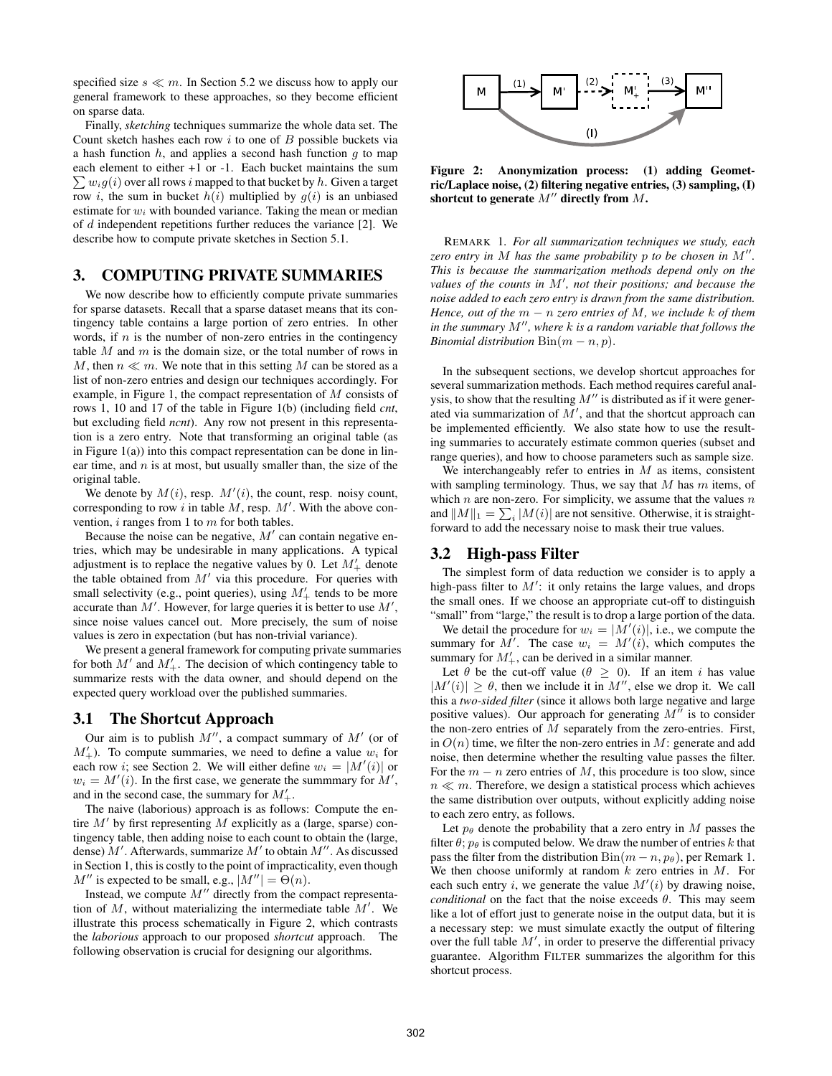specified size  $s \ll m$ . In Section 5.2 we discuss how to apply our general framework to these approaches, so they become efficient on sparse data.

Finally, *sketching* techniques summarize the whole data set. The Count sketch hashes each row  $i$  to one of  $B$  possible buckets via a hash function  $h$ , and applies a second hash function  $q$  to map each element to either +1 or -1. Each bucket maintains the sum  $\sum w_i g(i)$  over all rows i mapped to that bucket by h. Given a target row *i*, the sum in bucket  $h(i)$  multiplied by  $g(i)$  is an unbiased estimate for  $w_i$  with bounded variance. Taking the mean or median of d independent repetitions further reduces the variance [2]. We describe how to compute private sketches in Section 5.1.

### 3. COMPUTING PRIVATE SUMMARIES

We now describe how to efficiently compute private summaries for sparse datasets. Recall that a sparse dataset means that its contingency table contains a large portion of zero entries. In other words, if  $n$  is the number of non-zero entries in the contingency table  $M$  and  $m$  is the domain size, or the total number of rows in M, then  $n \ll m$ . We note that in this setting M can be stored as a list of non-zero entries and design our techniques accordingly. For example, in Figure 1, the compact representation of M consists of rows 1, 10 and 17 of the table in Figure 1(b) (including field *cnt*, but excluding field *ncnt*). Any row not present in this representation is a zero entry. Note that transforming an original table (as in Figure  $1(a)$ ) into this compact representation can be done in linear time, and  $n$  is at most, but usually smaller than, the size of the original table.

We denote by  $M(i)$ , resp.  $M'(i)$ , the count, resp. noisy count, corresponding to row i in table  $M$ , resp.  $M'$ . With the above convention,  $i$  ranges from 1 to  $m$  for both tables.

Because the noise can be negative,  $M'$  can contain negative entries, which may be undesirable in many applications. A typical adjustment is to replace the negative values by 0. Let  $M'_+$  denote the table obtained from  $M'$  via this procedure. For queries with small selectivity (e.g., point queries), using  $M'_{+}$  tends to be more accurate than  $M'$ . However, for large queries it is better to use  $M'$ , since noise values cancel out. More precisely, the sum of noise values is zero in expectation (but has non-trivial variance).

We present a general framework for computing private summaries for both  $M'$  and  $M'_{+}$ . The decision of which contingency table to summarize rests with the data owner, and should depend on the expected query workload over the published summaries.

#### 3.1 The Shortcut Approach

Our aim is to publish  $M''$ , a compact summary of  $M'$  (or of  $M'_{+}$ ). To compute summaries, we need to define a value  $w_i$  for each row *i*; see Section 2. We will either define  $w_i = |M'(i)|$  or  $w_i = M'(i)$ . In the first case, we generate the summmary for M', and in the second case, the summary for  $M'_+$ .

The naive (laborious) approach is as follows: Compute the entire  $M'$  by first representing  $M$  explicitly as a (large, sparse) contingency table, then adding noise to each count to obtain the (large, dense)  $M'$ . Afterwards, summarize  $M'$  to obtain  $M''$ . As discussed in Section 1, this is costly to the point of impracticality, even though  $M''$  is expected to be small, e.g.,  $|M''| = \Theta(n)$ .

Instead, we compute  $M''$  directly from the compact representation of  $M$ , without materializing the intermediate table  $M'$ . We illustrate this process schematically in Figure 2, which contrasts the *laborious* approach to our proposed *shortcut* approach. The following observation is crucial for designing our algorithms.



Figure 2: Anonymization process: (1) adding Geometric/Laplace noise, (2) filtering negative entries, (3) sampling, (I) shortcut to generate  $M''$  directly from  $M$ .

REMARK 1. *For all summarization techniques we study, each zero entry in*  $M$  *has the same probability*  $p$  *to be chosen in*  $M''$ . *This is because the summarization methods depend only on the* values of the counts in M', not their positions; and because the *noise added to each zero entry is drawn from the same distribution. Hence, out of the*  $m - n$  *zero entries of*  $M$ *, we include*  $k$  *of them in the summary*  $M''$ *, where k is a random variable that follows the Binomial distribution*  $Bin(m - n, p)$ .

In the subsequent sections, we develop shortcut approaches for several summarization methods. Each method requires careful analysis, to show that the resulting  $M''$  is distributed as if it were generated via summarization of  $M'$ , and that the shortcut approach can be implemented efficiently. We also state how to use the resulting summaries to accurately estimate common queries (subset and range queries), and how to choose parameters such as sample size.

We interchangeably refer to entries in  $M$  as items, consistent with sampling terminology. Thus, we say that  $M$  has  $m$  items, of which  $n$  are non-zero. For simplicity, we assume that the values  $n$ and  $||M||_1 = \sum_i |M(i)|$  are not sensitive. Otherwise, it is straightforward to add the necessary noise to mask their true values.

### 3.2 High-pass Filter

The simplest form of data reduction we consider is to apply a high-pass filter to  $M'$ : it only retains the large values, and drops the small ones. If we choose an appropriate cut-off to distinguish "small" from "large," the result is to drop a large portion of the data.

We detail the procedure for  $w_i = |M'(i)|$ , i.e., we compute the summary for M'. The case  $w_i = M'(i)$ , which computes the summary for  $M'_{+}$ , can be derived in a similar manner.

Let  $\theta$  be the cut-off value ( $\theta \geq 0$ ). If an item i has value  $|M'(i)| \geq \theta$ , then we include it in M'', else we drop it. We call this a *two-sided filter* (since it allows both large negative and large positive values). Our approach for generating  $M''$  is to consider the non-zero entries of  $M$  separately from the zero-entries. First, in  $O(n)$  time, we filter the non-zero entries in M: generate and add noise, then determine whether the resulting value passes the filter. For the  $m - n$  zero entries of M, this procedure is too slow, since  $n \ll m$ . Therefore, we design a statistical process which achieves the same distribution over outputs, without explicitly adding noise to each zero entry, as follows.

Let  $p_{\theta}$  denote the probability that a zero entry in M passes the filter  $\theta$ ;  $p_{\theta}$  is computed below. We draw the number of entries k that pass the filter from the distribution  $Bin(m - n, p_\theta)$ , per Remark 1. We then choose uniformly at random  $k$  zero entries in  $M$ . For each such entry *i*, we generate the value  $M'(i)$  by drawing noise, *conditional* on the fact that the noise exceeds  $\theta$ . This may seem like a lot of effort just to generate noise in the output data, but it is a necessary step: we must simulate exactly the output of filtering over the full table  $M'$ , in order to preserve the differential privacy guarantee. Algorithm FILTER summarizes the algorithm for this shortcut process.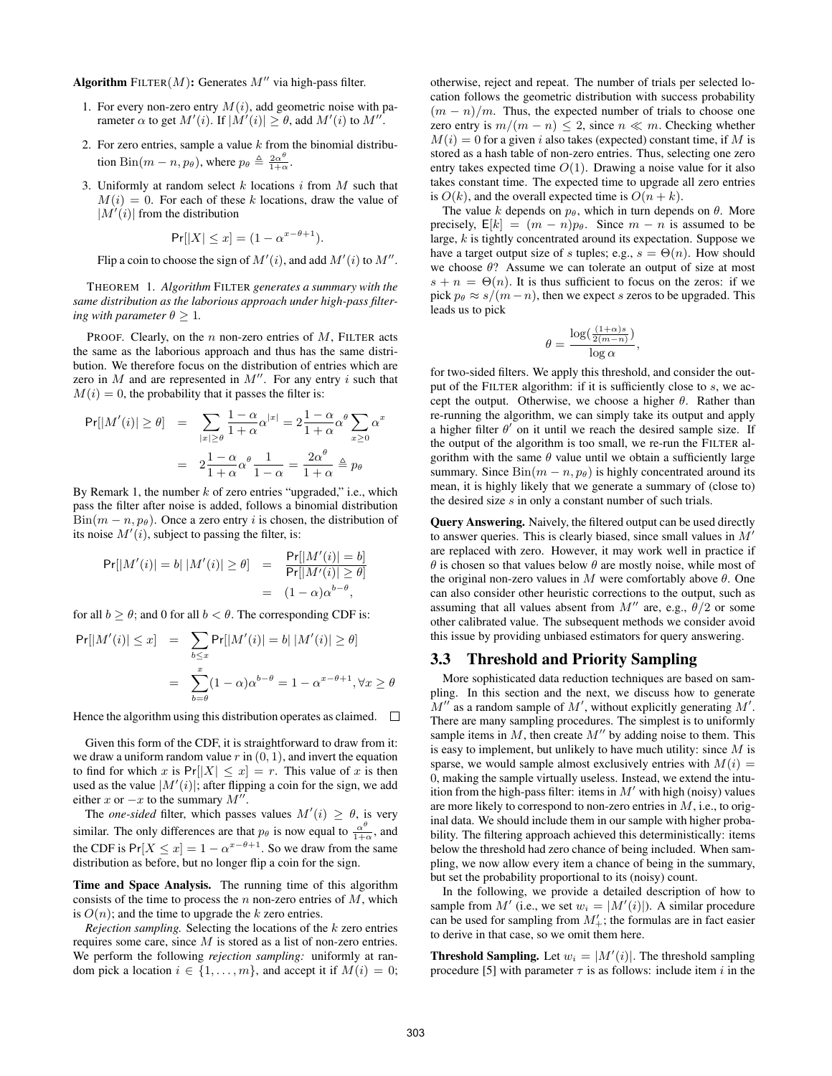Algorithm FILTER(M): Generates  $M''$  via high-pass filter.

- 1. For every non-zero entry  $M(i)$ , add geometric noise with parameter  $\alpha$  to get  $M'(i)$ . If  $|M'(i)| \ge \theta$ , add  $M'(i)$  to  $M''$ .
- 2. For zero entries, sample a value  $k$  from the binomial distribution Bin $(m - n, p_\theta)$ , where  $p_\theta \triangleq \frac{2\alpha^\theta}{1+\alpha}$  $\frac{2\alpha^{\circ}}{1+\alpha}$ .
- 3. Uniformly at random select  $k$  locations  $i$  from  $M$  such that  $M(i) = 0$ . For each of these k locations, draw the value of  $|M'(i)|$  from the distribution

$$
\Pr[|X| \le x] = (1 - \alpha^{x - \theta + 1}).
$$

Flip a coin to choose the sign of  $M'(i)$ , and add  $M'(i)$  to  $M''$ .

THEOREM 1. *Algorithm* FILTER *generates a summary with the same distribution as the laborious approach under high-pass filtering with parameter*  $\theta \geq 1$ *.* 

PROOF. Clearly, on the  $n$  non-zero entries of  $M$ , FILTER acts the same as the laborious approach and thus has the same distribution. We therefore focus on the distribution of entries which are zero in  $M$  and are represented in  $M''$ . For any entry i such that  $M(i) = 0$ , the probability that it passes the filter is:

$$
\Pr[|M'(i)| \ge \theta] = \sum_{|x| \ge \theta} \frac{1-\alpha}{1+\alpha} \alpha^{|x|} = 2\frac{1-\alpha}{1+\alpha} \alpha^{\theta} \sum_{x \ge 0} \alpha^x
$$

$$
= 2\frac{1-\alpha}{1+\alpha} \alpha^{\theta} \frac{1}{1-\alpha} = \frac{2\alpha^{\theta}}{1+\alpha} \triangleq p_{\theta}
$$

By Remark 1, the number  $k$  of zero entries "upgraded," i.e., which pass the filter after noise is added, follows a binomial distribution  $\text{Bin}(m - n, p_\theta)$ . Once a zero entry *i* is chosen, the distribution of its noise  $M'(i)$ , subject to passing the filter, is:

$$
Pr[|M'(i)| = b| |M'(i)| \ge \theta] = \frac{Pr[|M'(i)| = b]}{Pr[|M'(i)| \ge \theta]} = (1 - \alpha)\alpha^{b - \theta},
$$

for all  $b \ge \theta$ ; and 0 for all  $b < \theta$ . The corresponding CDF is:

$$
\Pr[|M'(i)| \le x] = \sum_{b \le x} \Pr[|M'(i)| = b| |M'(i)| \ge \theta]
$$

$$
= \sum_{b=\theta}^{x} (1 - \alpha)\alpha^{b-\theta} = 1 - \alpha^{x-\theta+1}, \forall x \ge \theta
$$

Hence the algorithm using this distribution operates as claimed.  $\Box$ 

Given this form of the CDF, it is straightforward to draw from it: we draw a uniform random value  $r$  in  $(0, 1)$ , and invert the equation to find for which x is  $Pr[|X| \leq x] = r$ . This value of x is then used as the value  $|M'(i)|$ ; after flipping a coin for the sign, we add either x or  $-x$  to the summary  $M''$ .

The *one-sided* filter, which passes values  $M'(i) \geq \theta$ , is very similar. The only differences are that  $p_\theta$  is now equal to  $\frac{\alpha^\theta}{1+\alpha}$  $\frac{\alpha^6}{1+\alpha}$ , and the CDF is  $Pr[X \le x] = 1 - \alpha^{x-\theta+1}$ . So we draw from the same distribution as before, but no longer flip a coin for the sign.

Time and Space Analysis. The running time of this algorithm consists of the time to process the  $n$  non-zero entries of  $M$ , which is  $O(n)$ ; and the time to upgrade the k zero entries.

*Rejection sampling.* Selecting the locations of the k zero entries requires some care, since  $M$  is stored as a list of non-zero entries. We perform the following *rejection sampling:* uniformly at random pick a location  $i \in \{1, \ldots, m\}$ , and accept it if  $M(i) = 0$ ; otherwise, reject and repeat. The number of trials per selected location follows the geometric distribution with success probability  $(m - n)/m$ . Thus, the expected number of trials to choose one zero entry is  $m/(m - n) \le 2$ , since  $n \ll m$ . Checking whether  $M(i) = 0$  for a given i also takes (expected) constant time, if M is stored as a hash table of non-zero entries. Thus, selecting one zero entry takes expected time  $O(1)$ . Drawing a noise value for it also takes constant time. The expected time to upgrade all zero entries is  $O(k)$ , and the overall expected time is  $O(n + k)$ .

The value k depends on  $p_{\theta}$ , which in turn depends on  $\theta$ . More precisely,  $E[k] = (m - n)p_{\theta}$ . Since  $m - n$  is assumed to be large, k is tightly concentrated around its expectation. Suppose we have a target output size of s tuples; e.g.,  $s = \Theta(n)$ . How should we choose  $\theta$ ? Assume we can tolerate an output of size at most  $s + n = \Theta(n)$ . It is thus sufficient to focus on the zeros: if we pick  $p_\theta \approx s/(m-n)$ , then we expect s zeros to be upgraded. This leads us to pick

$$
\theta = \frac{\log(\frac{(1+\alpha)s}{2(m-n)})}{\log \alpha},
$$

for two-sided filters. We apply this threshold, and consider the output of the FILTER algorithm: if it is sufficiently close to  $s$ , we accept the output. Otherwise, we choose a higher  $\theta$ . Rather than re-running the algorithm, we can simply take its output and apply a higher filter  $\theta'$  on it until we reach the desired sample size. If the output of the algorithm is too small, we re-run the FILTER algorithm with the same  $\theta$  value until we obtain a sufficiently large summary. Since  $Bin(m - n, p_\theta)$  is highly concentrated around its mean, it is highly likely that we generate a summary of (close to) the desired size s in only a constant number of such trials.

Query Answering. Naively, the filtered output can be used directly to answer queries. This is clearly biased, since small values in  $M'$ are replaced with zero. However, it may work well in practice if  $\theta$  is chosen so that values below  $\theta$  are mostly noise, while most of the original non-zero values in M were comfortably above  $\theta$ . One can also consider other heuristic corrections to the output, such as assuming that all values absent from  $M''$  are, e.g.,  $\hat{\theta/2}$  or some other calibrated value. The subsequent methods we consider avoid this issue by providing unbiased estimators for query answering.

#### 3.3 Threshold and Priority Sampling

More sophisticated data reduction techniques are based on sampling. In this section and the next, we discuss how to generate  $M''$  as a random sample of  $M'$ , without explicitly generating  $M'$ . There are many sampling procedures. The simplest is to uniformly sample items in  $M$ , then create  $M''$  by adding noise to them. This is easy to implement, but unlikely to have much utility: since  $M$  is sparse, we would sample almost exclusively entries with  $M(i)$  = 0, making the sample virtually useless. Instead, we extend the intuition from the high-pass filter: items in  $M'$  with high (noisy) values are more likely to correspond to non-zero entries in  $M$ , i.e., to original data. We should include them in our sample with higher probability. The filtering approach achieved this deterministically: items below the threshold had zero chance of being included. When sampling, we now allow every item a chance of being in the summary, but set the probability proportional to its (noisy) count.

In the following, we provide a detailed description of how to sample from M' (i.e., we set  $w_i = |M'(i)|$ ). A similar procedure can be used for sampling from  $M'_{+}$ ; the formulas are in fact easier to derive in that case, so we omit them here.

**Threshold Sampling.** Let  $w_i = |M'(i)|$ . The threshold sampling procedure [5] with parameter  $\tau$  is as follows: include item i in the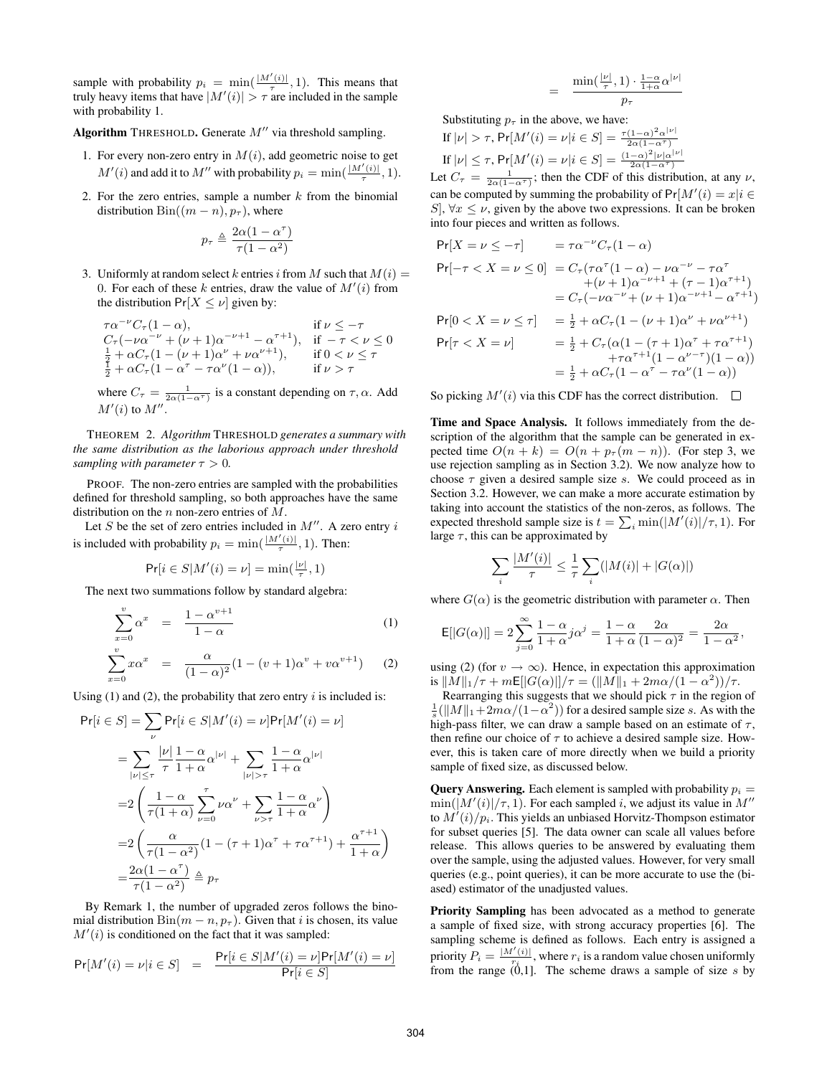sample with probability  $p_i = \min_{\tau}(\frac{|M'(i)|}{\tau}, 1)$ . This means that truly heavy items that have  $|M'(i)| > \tau$  are included in the sample with probability 1.

Algorithm THRESHOLD. Generate  $M''$  via threshold sampling.

- 1. For every non-zero entry in  $M(i)$ , add geometric noise to get  $M'(i)$  and add it to  $M''$  with probability  $p_i = \min(\frac{|M'(i)|}{\tau}, 1)$ .
- 2. For the zero entries, sample a number  $k$  from the binomial distribution Bin $((m - n), p_{\tau})$ , where

$$
p_{\tau} \triangleq \frac{2\alpha(1-\alpha^{\tau})}{\tau(1-\alpha^2)}
$$

3. Uniformly at random select k entries i from M such that  $M(i) =$ 0. For each of these k entries, draw the value of  $M'(i)$  from the distribution  $Pr[X \leq \nu]$  given by:

$$
\tau\alpha^{-\nu}C_{\tau}(1-\alpha), \qquad \text{if } \nu \leq -\tau
$$
  
\n
$$
C_{\tau}(-\nu\alpha^{-\nu} + (\nu+1)\alpha^{-\nu+1} - \alpha^{\tau+1}), \quad \text{if } -\tau < \nu \leq 0
$$
  
\n
$$
\frac{1}{2} + \alpha C_{\tau}(1 - (\nu+1)\alpha^{\nu} + \nu\alpha^{\nu+1}), \qquad \text{if } 0 < \nu \leq \tau
$$
  
\n
$$
\frac{1}{2} + \alpha C_{\tau}(1 - \alpha^{\tau} - \tau\alpha^{\nu}(1-\alpha)), \qquad \text{if } \nu > \tau
$$

where  $C_{\tau} = \frac{1}{2\alpha(1-\alpha^{\tau})}$  is a constant depending on  $\tau$ ,  $\alpha$ . Add  $M'(i)$  to  $M''$ .

THEOREM 2. *Algorithm* THRESHOLD *generates a summary with the same distribution as the laborious approach under threshold sampling with parameter*  $\tau > 0$ *.* 

PROOF. The non-zero entries are sampled with the probabilities defined for threshold sampling, so both approaches have the same distribution on the  $n$  non-zero entries of  $M$ .

Let S be the set of zero entries included in  $M''$ . A zero entry i is included with probability  $p_i = \min(\frac{|M'(i)|}{\tau}, 1)$ . Then:

$$
\Pr[i \in S | M^\prime(i) = \nu] = \min(\tfrac{|\nu|}{\tau}, 1)
$$

The next two summations follow by standard algebra:

$$
\sum_{\substack{x=0 \ v}}^v \alpha^x = \frac{1-\alpha^{v+1}}{1-\alpha} \tag{1}
$$

$$
\sum_{x=0}^{v} x \alpha^{x} = \frac{\alpha}{(1-\alpha)^{2}} (1 - (v+1)\alpha^{v} + v\alpha^{v+1})
$$
 (2)

Using (1) and (2), the probability that zero entry  $i$  is included is:

$$
\Pr[i \in S] = \sum_{\nu} \Pr[i \in S | M'(i) = \nu] \Pr[M'(i) = \nu]
$$
\n
$$
= \sum_{|\nu| \le \tau} \frac{|\nu|}{\tau} \frac{1 - \alpha}{1 + \alpha} \alpha^{|\nu|} + \sum_{|\nu| > \tau} \frac{1 - \alpha}{1 + \alpha} \alpha^{|\nu|}
$$
\n
$$
= 2 \left( \frac{1 - \alpha}{\tau(1 + \alpha)} \sum_{\nu=0}^{\tau} \nu \alpha^{\nu} + \sum_{\nu > \tau} \frac{1 - \alpha}{1 + \alpha} \alpha^{\nu} \right)
$$
\n
$$
= 2 \left( \frac{\alpha}{\tau(1 - \alpha^2)} (1 - (\tau + 1)\alpha^{\tau} + \tau \alpha^{\tau+1}) + \frac{\alpha^{\tau+1}}{1 + \alpha} \right)
$$
\n
$$
= \frac{2\alpha(1 - \alpha^{\tau})}{\tau(1 - \alpha^2)} \triangleq p_{\tau}
$$

By Remark 1, the number of upgraded zeros follows the binomial distribution Bin $(m - n, p<sub>\tau</sub>)$ . Given that i is chosen, its value  $M'(i)$  is conditioned on the fact that it was sampled:

$$
\Pr[M'(i) = \nu | i \in S] = \frac{\Pr[i \in S | M'(i) = \nu] \Pr[M'(i) = \nu]}{\Pr[i \in S]}
$$

$$
\frac{\min(\frac{|\nu|}{\tau},1)\cdot\frac{1-\alpha}{1+\alpha}\alpha^{|\nu|}}{p_\tau}
$$

Substituting  $p_{\tau}$  in the above, we have:

=

If 
$$
|\nu| > \tau
$$
, Pr $[M'(i) = \nu | i \in S] = \frac{\tau (1-\alpha)^2 \alpha^{|\nu|}}{2\alpha (1-\alpha^{\tau})}$   
If  $|\nu| \le \tau$ , Pr $[M'(i) = \nu | i \in S] = \frac{(1-\alpha)^2 |\nu| \alpha^{|\nu|}}{2\alpha (1-\alpha^{\tau})}$ 

Let  $C_{\tau} = \frac{1}{2\alpha(1-\alpha^{\tau})}$ ; then the CDF of this distribution, at any  $\nu$ , can be computed by summing the probability of  $Pr[M'(i) = x | i \in$ S,  $\forall x \leq \nu$ , given by the above two expressions. It can be broken into four pieces and written as follows.

$$
Pr[X = \nu \le -\tau] = \tau \alpha^{-\nu} C_{\tau} (1 - \alpha)
$$
  
\n
$$
Pr[-\tau < X = \nu \le 0] = C_{\tau} (\tau \alpha^{\tau} (1 - \alpha) - \nu \alpha^{-\nu} - \tau \alpha^{\tau} + (\nu + 1) \alpha^{-\nu + 1} + (\tau - 1) \alpha^{\tau + 1})
$$
  
\n
$$
= C_{\tau} (-\nu \alpha^{-\nu} + (\nu + 1) \alpha^{-\nu + 1} - \alpha^{\tau + 1})
$$
  
\n
$$
Pr[0 < X = \nu \le \tau] = \frac{1}{2} + \alpha C_{\tau} (1 - (\nu + 1) \alpha^{\nu} + \nu \alpha^{\nu + 1})
$$
  
\n
$$
Pr[\tau < X = \nu] = \frac{1}{2} + C_{\tau} (\alpha (1 - (\tau + 1) \alpha^{\tau} + \tau \alpha^{\tau + 1}) + \tau \alpha^{\tau + 1} (1 - \alpha^{\nu - \tau}) (1 - \alpha))
$$
  
\n
$$
= \frac{1}{2} + \alpha C_{\tau} (1 - \alpha^{\tau} - \tau \alpha^{\nu} (1 - \alpha))
$$

So picking  $M'(i)$  via this CDF has the correct distribution.

Time and Space Analysis. It follows immediately from the description of the algorithm that the sample can be generated in expected time  $O(n + k) = O(n + p<sub>\tau</sub>(m - n))$ . (For step 3, we use rejection sampling as in Section 3.2). We now analyze how to choose  $\tau$  given a desired sample size s. We could proceed as in Section 3.2. However, we can make a more accurate estimation by taking into account the statistics of the non-zeros, as follows. The expected threshold sample size is  $t = \sum_i \min(|M'(i)|/\tau, 1)$ . For large  $\tau$ , this can be approximated by

$$
\sum_{i} \frac{|M'(i)|}{\tau} \le \frac{1}{\tau} \sum_{i} (|M(i)| + |G(\alpha)|)
$$

where  $G(\alpha)$  is the geometric distribution with parameter  $\alpha$ . Then

$$
\mathsf{E}[|G(\alpha)|]=2\sum_{j=0}^\infty\frac{1-\alpha}{1+\alpha}j\alpha^j=\frac{1-\alpha}{1+\alpha}\frac{2\alpha}{(1-\alpha)^2}=\frac{2\alpha}{1-\alpha^2},
$$

using (2) (for  $v \to \infty$ ). Hence, in expectation this approximation is  $\|\tilde{M}\|_1/\tau + m\mathsf{E}[|G(\alpha)||/\tau = (\|M\|_1 + 2m\alpha/(1 - \alpha^2))/\tau.$ 

Rearranging this suggests that we should pick  $\tau$  in the region of  $\frac{1}{s}(\|M\|_1+2m\alpha/(1-\alpha^2))$  for a desired sample size s. As with the high-pass filter, we can draw a sample based on an estimate of  $\tau$ , then refine our choice of  $\tau$  to achieve a desired sample size. However, this is taken care of more directly when we build a priority sample of fixed size, as discussed below.

**Query Answering.** Each element is sampled with probability  $p_i =$  $\min(|M'(i)|/\tau, 1)$ . For each sampled i, we adjust its value in  $M''$ to  $M'(i)/p_i$ . This yields an unbiased Horvitz-Thompson estimator for subset queries [5]. The data owner can scale all values before release. This allows queries to be answered by evaluating them over the sample, using the adjusted values. However, for very small queries (e.g., point queries), it can be more accurate to use the (biased) estimator of the unadjusted values.

Priority Sampling has been advocated as a method to generate a sample of fixed size, with strong accuracy properties [6]. The sampling scheme is defined as follows. Each entry is assigned a priority  $P_i = \frac{|M'(i)|}{r_i}$ , where  $r_i$  is a random value chosen uniformly from the range  $(\dot{\hat{0}},1]$ . The scheme draws a sample of size s by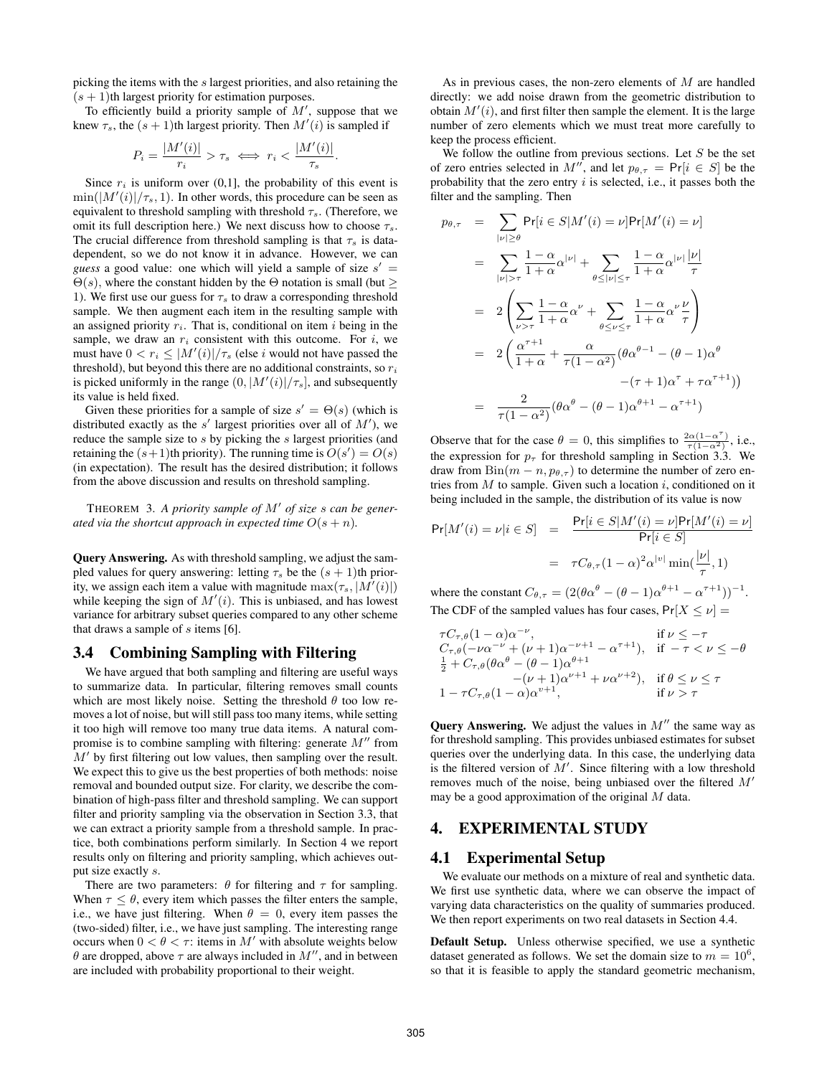picking the items with the s largest priorities, and also retaining the  $(s + 1)$ th largest priority for estimation purposes.

To efficiently build a priority sample of  $M'$ , suppose that we knew  $\tau_s$ , the  $(s + 1)$ th largest priority. Then  $M'(i)$  is sampled if

$$
P_i = \frac{|M'(i)|}{r_i} > \tau_s \iff r_i < \frac{|M'(i)|}{\tau_s}.
$$

Since  $r_i$  is uniform over (0,1], the probability of this event is  $\min(|M'(i)|/\tau_s, 1)$ . In other words, this procedure can be seen as equivalent to threshold sampling with threshold  $\tau_s$ . (Therefore, we omit its full description here.) We next discuss how to choose  $\tau_s$ . The crucial difference from threshold sampling is that  $\tau_s$  is datadependent, so we do not know it in advance. However, we can *guess* a good value: one which will yield a sample of size  $s' =$  $\Theta(s)$ , where the constant hidden by the  $\Theta$  notation is small (but  $\geq$ 1). We first use our guess for  $\tau_s$  to draw a corresponding threshold sample. We then augment each item in the resulting sample with an assigned priority  $r_i$ . That is, conditional on item i being in the sample, we draw an  $r_i$  consistent with this outcome. For i, we must have  $0 < r_i \leq |M'(i)|/\tau_s$  (else i would not have passed the threshold), but beyond this there are no additional constraints, so  $r_i$ is picked uniformly in the range  $(0, |M'(i)|/\tau_s]$ , and subsequently its value is held fixed.

Given these priorities for a sample of size  $s' = \Theta(s)$  (which is distributed exactly as the  $s'$  largest priorities over all of  $M'$ ), we reduce the sample size to s by picking the s largest priorities (and retaining the  $(s+1)$ th priority). The running time is  $O(s') = O(s)$ (in expectation). The result has the desired distribution; it follows from the above discussion and results on threshold sampling.

THEOREM 3. A priority sample of M' of size s can be gener*ated via the shortcut approach in expected time*  $O(s + n)$ *.* 

Query Answering. As with threshold sampling, we adjust the sampled values for query answering: letting  $\tau_s$  be the  $(s + 1)$ th priority, we assign each item a value with magnitude  $\max(\tau_s, |M'(i)|)$ while keeping the sign of  $M'(i)$ . This is unbiased, and has lowest variance for arbitrary subset queries compared to any other scheme that draws a sample of  $s$  items [6].

# 3.4 Combining Sampling with Filtering

We have argued that both sampling and filtering are useful ways to summarize data. In particular, filtering removes small counts which are most likely noise. Setting the threshold  $\theta$  too low removes a lot of noise, but will still pass too many items, while setting it too high will remove too many true data items. A natural compromise is to combine sampling with filtering: generate  $M''$  from  $M'$  by first filtering out low values, then sampling over the result. We expect this to give us the best properties of both methods: noise removal and bounded output size. For clarity, we describe the combination of high-pass filter and threshold sampling. We can support filter and priority sampling via the observation in Section 3.3, that we can extract a priority sample from a threshold sample. In practice, both combinations perform similarly. In Section 4 we report results only on filtering and priority sampling, which achieves output size exactly s.

There are two parameters:  $\theta$  for filtering and  $\tau$  for sampling. When  $\tau \leq \theta$ , every item which passes the filter enters the sample, i.e., we have just filtering. When  $\theta = 0$ , every item passes the (two-sided) filter, i.e., we have just sampling. The interesting range occurs when  $0 < \theta < \tau$ : items in M' with absolute weights below θ are dropped, above  $τ$  are always included in  $M''$ , and in between are included with probability proportional to their weight.

As in previous cases, the non-zero elements of  $M$  are handled directly: we add noise drawn from the geometric distribution to obtain  $M'(i)$ , and first filter then sample the element. It is the large number of zero elements which we must treat more carefully to keep the process efficient.

We follow the outline from previous sections. Let  $S$  be the set of zero entries selected in M'', and let  $p_{\theta,\tau} = \Pr[i \in S]$  be the probability that the zero entry  $i$  is selected, i.e., it passes both the filter and the sampling. Then

$$
p_{\theta,\tau} = \sum_{|\nu| \geq \theta} \Pr[i \in S | M'(i) = \nu] \Pr[M'(i) = \nu]
$$
  
\n
$$
= \sum_{|\nu| > \tau} \frac{1 - \alpha}{1 + \alpha} \alpha^{|\nu|} + \sum_{\theta \leq |\nu| \leq \tau} \frac{1 - \alpha}{1 + \alpha} \alpha^{|\nu|} \frac{|\nu|}{\tau}
$$
  
\n
$$
= 2 \left( \sum_{\nu > \tau} \frac{1 - \alpha}{1 + \alpha} \alpha^{\nu} + \sum_{\theta \leq \nu \leq \tau} \frac{1 - \alpha}{1 + \alpha} \alpha^{\nu} \frac{\nu}{\tau} \right)
$$
  
\n
$$
= 2 \left( \frac{\alpha^{\tau+1}}{1 + \alpha} + \frac{\alpha}{\tau (1 - \alpha^2)} (\theta \alpha^{\theta-1} - (\theta - 1) \alpha^{\theta} - (\tau + 1) \alpha^{\tau} + \tau \alpha^{\tau+1}) \right)
$$
  
\n
$$
= \frac{2}{\tau (1 - \alpha^2)} (\theta \alpha^{\theta} - (\theta - 1) \alpha^{\theta+1} - \alpha^{\tau+1})
$$

Observe that for the case  $\theta = 0$ , this simplifies to  $\frac{2\alpha(1-\alpha^{\tau})}{\tau(1-\alpha^2)}$ , i.e., the expression for  $p_{\tau}$  for threshold sampling in Section 3.3. We draw from  $Bin(m - n, p_{\theta, \tau})$  to determine the number of zero entries from  $M$  to sample. Given such a location  $i$ , conditioned on it being included in the sample, the distribution of its value is now

$$
Pr[M'(i) = \nu | i \in S] = \frac{Pr[i \in S | M'(i) = \nu] Pr[M'(i) = \nu]}{Pr[i \in S]}
$$

$$
= \tau C_{\theta, \tau} (1 - \alpha)^2 \alpha^{|\nu|} \min(\frac{|\nu|}{\tau}, 1)
$$

where the constant  $C_{\theta,\tau} = (2(\theta \alpha^{\theta} - (\theta - 1)\alpha^{\theta+1} - \alpha^{\tau+1}))^{-1}$ . The CDF of the sampled values has four cases,  $Pr[X \le \nu]$  =

$$
\tau C_{\tau,\theta}(1-\alpha)\alpha^{-\nu}, \quad \text{if } \nu \leq -\tau
$$
  
\n
$$
C_{\tau,\theta}(-\nu\alpha^{-\nu} + (\nu+1)\alpha^{-\nu+1} - \alpha^{\tau+1}), \quad \text{if } -\tau < \nu \leq -\theta
$$
  
\n
$$
\frac{1}{2} + C_{\tau,\theta}(\theta\alpha^{\theta} - (\theta-1)\alpha^{\theta+1} - (\nu+1)\alpha^{\nu+1} + \nu\alpha^{\nu+2}), \quad \text{if } \theta \leq \nu \leq \tau
$$
  
\n
$$
1 - \tau C_{\tau,\theta}(1-\alpha)\alpha^{\nu+1}, \quad \text{if } \nu > \tau
$$

**Query Answering.** We adjust the values in  $M''$  the same way as for threshold sampling. This provides unbiased estimates for subset queries over the underlying data. In this case, the underlying data is the filtered version of  $M'$ . Since filtering with a low threshold removes much of the noise, being unbiased over the filtered  $M'$ may be a good approximation of the original  $M$  data.

# 4. EXPERIMENTAL STUDY

### 4.1 Experimental Setup

We evaluate our methods on a mixture of real and synthetic data. We first use synthetic data, where we can observe the impact of varying data characteristics on the quality of summaries produced. We then report experiments on two real datasets in Section 4.4.

Default Setup. Unless otherwise specified, we use a synthetic dataset generated as follows. We set the domain size to  $m = 10^6$ , so that it is feasible to apply the standard geometric mechanism,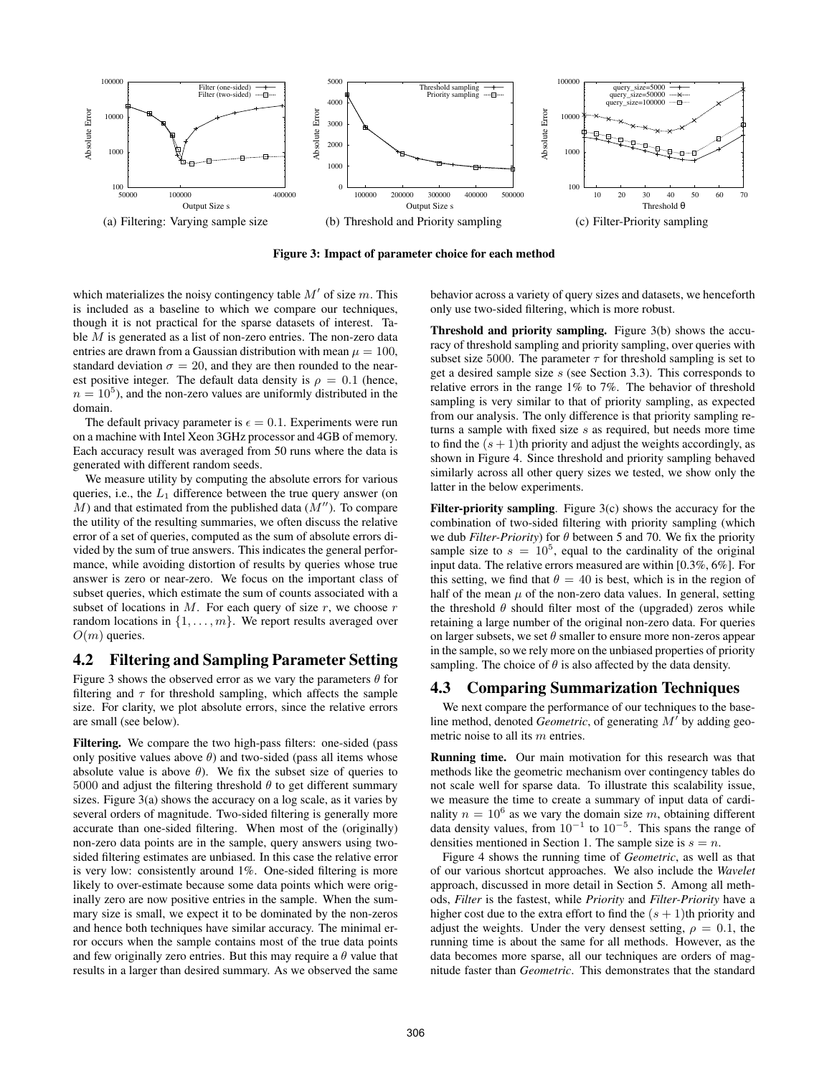

Figure 3: Impact of parameter choice for each method

which materializes the noisy contingency table  $M'$  of size  $m$ . This is included as a baseline to which we compare our techniques, though it is not practical for the sparse datasets of interest. Table  $M$  is generated as a list of non-zero entries. The non-zero data entries are drawn from a Gaussian distribution with mean  $\mu = 100$ , standard deviation  $\sigma = 20$ , and they are then rounded to the nearest positive integer. The default data density is  $\rho = 0.1$  (hence,  $n = 10<sup>5</sup>$ ), and the non-zero values are uniformly distributed in the domain.

The default privacy parameter is  $\epsilon = 0.1$ . Experiments were run on a machine with Intel Xeon 3GHz processor and 4GB of memory. Each accuracy result was averaged from 50 runs where the data is generated with different random seeds.

We measure utility by computing the absolute errors for various queries, i.e., the  $L_1$  difference between the true query answer (on  $\overline{M}$ ) and that estimated from the published data  $(M'')$ . To compare the utility of the resulting summaries, we often discuss the relative error of a set of queries, computed as the sum of absolute errors divided by the sum of true answers. This indicates the general performance, while avoiding distortion of results by queries whose true answer is zero or near-zero. We focus on the important class of subset queries, which estimate the sum of counts associated with a subset of locations in  $M$ . For each query of size  $r$ , we choose  $r$ random locations in  $\{1, \ldots, m\}$ . We report results averaged over  $O(m)$  queries.

## 4.2 Filtering and Sampling Parameter Setting

Figure 3 shows the observed error as we vary the parameters  $\theta$  for filtering and  $\tau$  for threshold sampling, which affects the sample size. For clarity, we plot absolute errors, since the relative errors are small (see below).

Filtering. We compare the two high-pass filters: one-sided (pass) only positive values above  $\theta$ ) and two-sided (pass all items whose absolute value is above  $\theta$ ). We fix the subset size of queries to 5000 and adjust the filtering threshold  $\theta$  to get different summary sizes. Figure 3(a) shows the accuracy on a log scale, as it varies by several orders of magnitude. Two-sided filtering is generally more accurate than one-sided filtering. When most of the (originally) non-zero data points are in the sample, query answers using twosided filtering estimates are unbiased. In this case the relative error is very low: consistently around 1%. One-sided filtering is more likely to over-estimate because some data points which were originally zero are now positive entries in the sample. When the summary size is small, we expect it to be dominated by the non-zeros and hence both techniques have similar accuracy. The minimal error occurs when the sample contains most of the true data points and few originally zero entries. But this may require a  $\theta$  value that results in a larger than desired summary. As we observed the same

behavior across a variety of query sizes and datasets, we henceforth only use two-sided filtering, which is more robust.

Threshold and priority sampling. Figure 3(b) shows the accuracy of threshold sampling and priority sampling, over queries with subset size 5000. The parameter  $\tau$  for threshold sampling is set to get a desired sample size s (see Section 3.3). This corresponds to relative errors in the range 1% to 7%. The behavior of threshold sampling is very similar to that of priority sampling, as expected from our analysis. The only difference is that priority sampling returns a sample with fixed size s as required, but needs more time to find the  $(s + 1)$ th priority and adjust the weights accordingly, as shown in Figure 4. Since threshold and priority sampling behaved similarly across all other query sizes we tested, we show only the latter in the below experiments.

Filter-priority sampling. Figure 3(c) shows the accuracy for the combination of two-sided filtering with priority sampling (which we dub *Filter-Priority*) for  $\theta$  between 5 and 70. We fix the priority sample size to  $s = 10^5$ , equal to the cardinality of the original input data. The relative errors measured are within [0.3%, 6%]. For this setting, we find that  $\theta = 40$  is best, which is in the region of half of the mean  $\mu$  of the non-zero data values. In general, setting the threshold  $\theta$  should filter most of the (upgraded) zeros while retaining a large number of the original non-zero data. For queries on larger subsets, we set  $\theta$  smaller to ensure more non-zeros appear in the sample, so we rely more on the unbiased properties of priority sampling. The choice of  $\theta$  is also affected by the data density.

# 4.3 Comparing Summarization Techniques

We next compare the performance of our techniques to the baseline method, denoted *Geometric*, of generating  $M'$  by adding geometric noise to all its m entries.

Running time. Our main motivation for this research was that methods like the geometric mechanism over contingency tables do not scale well for sparse data. To illustrate this scalability issue, we measure the time to create a summary of input data of cardinality  $n = 10^6$  as we vary the domain size m, obtaining different data density values, from  $10^{-1}$  to  $10^{-5}$ . This spans the range of densities mentioned in Section 1. The sample size is  $s = n$ .

Figure 4 shows the running time of *Geometric*, as well as that of our various shortcut approaches. We also include the *Wavelet* approach, discussed in more detail in Section 5. Among all methods, *Filter* is the fastest, while *Priority* and *Filter-Priority* have a higher cost due to the extra effort to find the  $(s + 1)$ th priority and adjust the weights. Under the very densest setting,  $\rho = 0.1$ , the running time is about the same for all methods. However, as the data becomes more sparse, all our techniques are orders of magnitude faster than *Geometric*. This demonstrates that the standard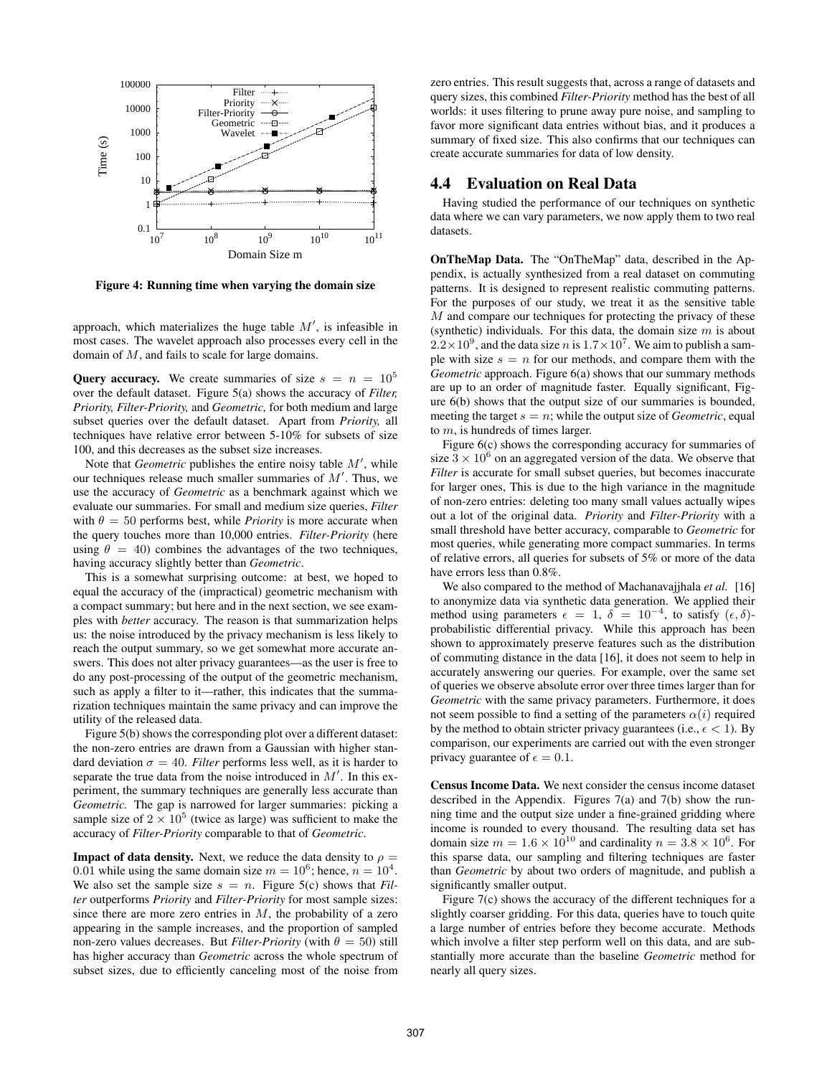

Figure 4: Running time when varying the domain size

approach, which materializes the huge table  $M'$ , is infeasible in most cases. The wavelet approach also processes every cell in the domain of M, and fails to scale for large domains.

**Query accuracy.** We create summaries of size  $s = n = 10^5$ over the default dataset. Figure 5(a) shows the accuracy of *Filter, Priority, Filter-Priority,* and *Geometric,* for both medium and large subset queries over the default dataset. Apart from *Priority,* all techniques have relative error between 5-10% for subsets of size 100, and this decreases as the subset size increases.

Note that *Geometric* publishes the entire noisy table  $M'$ , while our techniques release much smaller summaries of  $M'$ . Thus, we use the accuracy of *Geometric* as a benchmark against which we evaluate our summaries. For small and medium size queries, *Filter* with  $\theta = 50$  performs best, while *Priority* is more accurate when the query touches more than 10,000 entries. *Filter-Priority* (here using  $\theta = 40$ ) combines the advantages of the two techniques, having accuracy slightly better than *Geometric*.

This is a somewhat surprising outcome: at best, we hoped to equal the accuracy of the (impractical) geometric mechanism with a compact summary; but here and in the next section, we see examples with *better* accuracy. The reason is that summarization helps us: the noise introduced by the privacy mechanism is less likely to reach the output summary, so we get somewhat more accurate answers. This does not alter privacy guarantees—as the user is free to do any post-processing of the output of the geometric mechanism, such as apply a filter to it—rather, this indicates that the summarization techniques maintain the same privacy and can improve the utility of the released data.

Figure 5(b) shows the corresponding plot over a different dataset: the non-zero entries are drawn from a Gaussian with higher standard deviation  $\sigma = 40$ . *Filter* performs less well, as it is harder to separate the true data from the noise introduced in  $M'$ . In this experiment, the summary techniques are generally less accurate than *Geometric.* The gap is narrowed for larger summaries: picking a sample size of  $2 \times 10^5$  (twice as large) was sufficient to make the accuracy of *Filter-Priority* comparable to that of *Geometric*.

**Impact of data density.** Next, we reduce the data density to  $\rho =$ 0.01 while using the same domain size  $m = 10^6$ ; hence,  $n = 10^4$ . We also set the sample size  $s = n$ . Figure 5(c) shows that *Filter* outperforms *Priority* and *Filter-Priority* for most sample sizes: since there are more zero entries in  $M$ , the probability of a zero appearing in the sample increases, and the proportion of sampled non-zero values decreases. But *Filter-Priority* (with  $\theta = 50$ ) still has higher accuracy than *Geometric* across the whole spectrum of subset sizes, due to efficiently canceling most of the noise from zero entries. This result suggests that, across a range of datasets and query sizes, this combined *Filter-Priority* method has the best of all worlds: it uses filtering to prune away pure noise, and sampling to favor more significant data entries without bias, and it produces a summary of fixed size. This also confirms that our techniques can create accurate summaries for data of low density.

## 4.4 Evaluation on Real Data

Having studied the performance of our techniques on synthetic data where we can vary parameters, we now apply them to two real datasets.

OnTheMap Data. The "OnTheMap" data, described in the Appendix, is actually synthesized from a real dataset on commuting patterns. It is designed to represent realistic commuting patterns. For the purposes of our study, we treat it as the sensitive table M and compare our techniques for protecting the privacy of these (synthetic) individuals. For this data, the domain size  $m$  is about  $2.2 \times 10^9$ , and the data size n is  $1.7 \times 10^7$ . We aim to publish a sample with size  $s = n$  for our methods, and compare them with the *Geometric* approach. Figure 6(a) shows that our summary methods are up to an order of magnitude faster. Equally significant, Figure 6(b) shows that the output size of our summaries is bounded, meeting the target  $s = n$ ; while the output size of *Geometric*, equal to m, is hundreds of times larger.

Figure 6(c) shows the corresponding accuracy for summaries of size  $3 \times 10^6$  on an aggregated version of the data. We observe that *Filter* is accurate for small subset queries, but becomes inaccurate for larger ones, This is due to the high variance in the magnitude of non-zero entries: deleting too many small values actually wipes out a lot of the original data. *Priority* and *Filter-Priority* with a small threshold have better accuracy, comparable to *Geometric* for most queries, while generating more compact summaries. In terms of relative errors, all queries for subsets of 5% or more of the data have errors less than 0.8%.

We also compared to the method of Machanavajjhala *et al.* [16] to anonymize data via synthetic data generation. We applied their method using parameters  $\epsilon = 1, \delta = 10^{-4}$ , to satisfy  $(\epsilon, \delta)$ probabilistic differential privacy. While this approach has been shown to approximately preserve features such as the distribution of commuting distance in the data [16], it does not seem to help in accurately answering our queries. For example, over the same set of queries we observe absolute error over three times larger than for *Geometric* with the same privacy parameters. Furthermore, it does not seem possible to find a setting of the parameters  $\alpha(i)$  required by the method to obtain stricter privacy guarantees (i.e.,  $\epsilon$  < 1). By comparison, our experiments are carried out with the even stronger privacy guarantee of  $\epsilon = 0.1$ .

Census Income Data. We next consider the census income dataset described in the Appendix. Figures  $7(a)$  and  $7(b)$  show the running time and the output size under a fine-grained gridding where income is rounded to every thousand. The resulting data set has domain size  $m = 1.6 \times 10^{10}$  and cardinality  $n = 3.8 \times 10^{6}$ . For this sparse data, our sampling and filtering techniques are faster than *Geometric* by about two orders of magnitude, and publish a significantly smaller output.

Figure 7(c) shows the accuracy of the different techniques for a slightly coarser gridding. For this data, queries have to touch quite a large number of entries before they become accurate. Methods which involve a filter step perform well on this data, and are substantially more accurate than the baseline *Geometric* method for nearly all query sizes.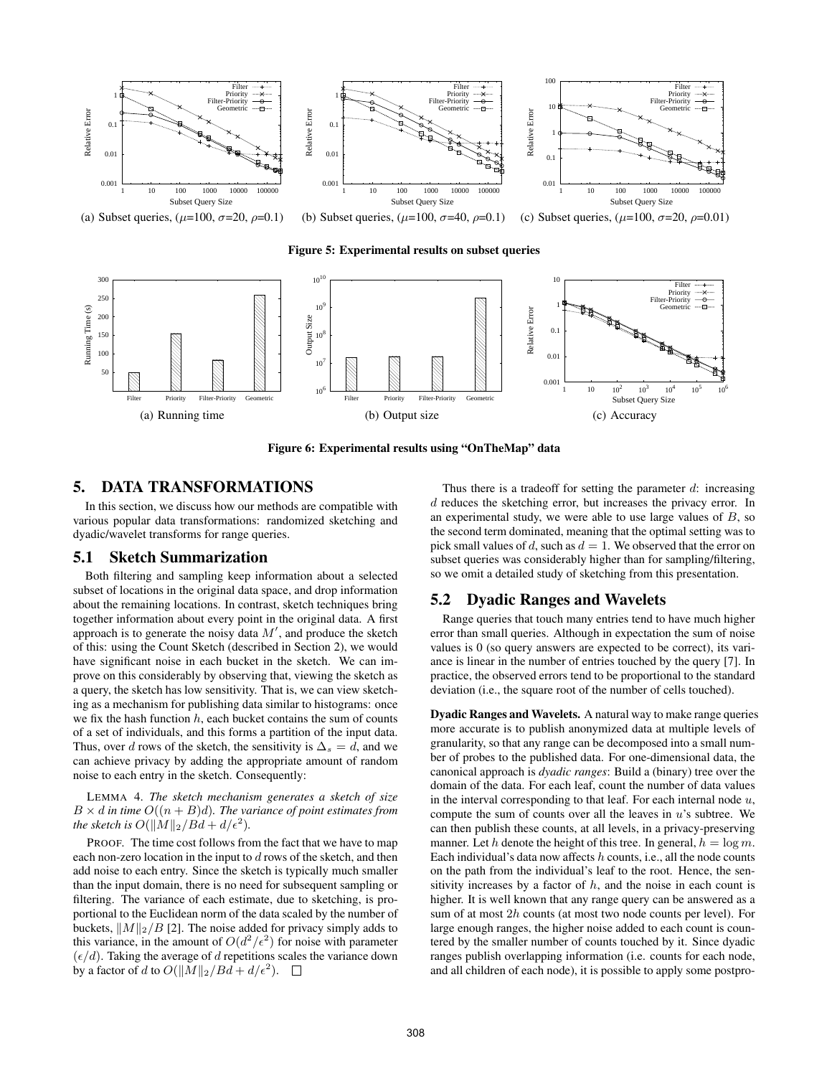

Figure 5: Experimental results on subset queries



Figure 6: Experimental results using "OnTheMap" data

#### 5. DATA TRANSFORMATIONS

In this section, we discuss how our methods are compatible with various popular data transformations: randomized sketching and dyadic/wavelet transforms for range queries.

#### 5.1 Sketch Summarization

Both filtering and sampling keep information about a selected subset of locations in the original data space, and drop information about the remaining locations. In contrast, sketch techniques bring together information about every point in the original data. A first approach is to generate the noisy data  $M'$ , and produce the sketch of this: using the Count Sketch (described in Section 2), we would have significant noise in each bucket in the sketch. We can improve on this considerably by observing that, viewing the sketch as a query, the sketch has low sensitivity. That is, we can view sketching as a mechanism for publishing data similar to histograms: once we fix the hash function  $h$ , each bucket contains the sum of counts of a set of individuals, and this forms a partition of the input data. Thus, over d rows of the sketch, the sensitivity is  $\Delta_s = d$ , and we can achieve privacy by adding the appropriate amount of random noise to each entry in the sketch. Consequently:

LEMMA 4. *The sketch mechanism generates a sketch of size*  $B \times d$  *in time*  $O((n + B)d)$ *. The variance of point estimates from the sketch is*  $O(||M||_2/Bd + d/\epsilon^2)$ *.* 

PROOF. The time cost follows from the fact that we have to map each non-zero location in the input to  $d$  rows of the sketch, and then add noise to each entry. Since the sketch is typically much smaller than the input domain, there is no need for subsequent sampling or filtering. The variance of each estimate, due to sketching, is proportional to the Euclidean norm of the data scaled by the number of buckets,  $||M||_2/B$  [2]. The noise added for privacy simply adds to this variance, in the amount of  $O(d^2/\epsilon^2)$  for noise with parameter  $(\epsilon/d)$ . Taking the average of d repetitions scales the variance down by a factor of d to  $O(||M||_2/Bd + d/\epsilon^2)$ .

Thus there is a tradeoff for setting the parameter  $d$ : increasing d reduces the sketching error, but increases the privacy error. In an experimental study, we were able to use large values of  $B$ , so the second term dominated, meaning that the optimal setting was to pick small values of d, such as  $d = 1$ . We observed that the error on subset queries was considerably higher than for sampling/filtering, so we omit a detailed study of sketching from this presentation.

# 5.2 Dyadic Ranges and Wavelets

Range queries that touch many entries tend to have much higher error than small queries. Although in expectation the sum of noise values is 0 (so query answers are expected to be correct), its variance is linear in the number of entries touched by the query [7]. In practice, the observed errors tend to be proportional to the standard deviation (i.e., the square root of the number of cells touched).

Dyadic Ranges and Wavelets. A natural way to make range queries more accurate is to publish anonymized data at multiple levels of granularity, so that any range can be decomposed into a small number of probes to the published data. For one-dimensional data, the canonical approach is *dyadic ranges*: Build a (binary) tree over the domain of the data. For each leaf, count the number of data values in the interval corresponding to that leaf. For each internal node  $u$ , compute the sum of counts over all the leaves in  $u$ 's subtree. We can then publish these counts, at all levels, in a privacy-preserving manner. Let h denote the height of this tree. In general,  $h = \log m$ . Each individual's data now affects  $h$  counts, i.e., all the node counts on the path from the individual's leaf to the root. Hence, the sensitivity increases by a factor of  $h$ , and the noise in each count is higher. It is well known that any range query can be answered as a sum of at most 2h counts (at most two node counts per level). For large enough ranges, the higher noise added to each count is countered by the smaller number of counts touched by it. Since dyadic ranges publish overlapping information (i.e. counts for each node, and all children of each node), it is possible to apply some postpro-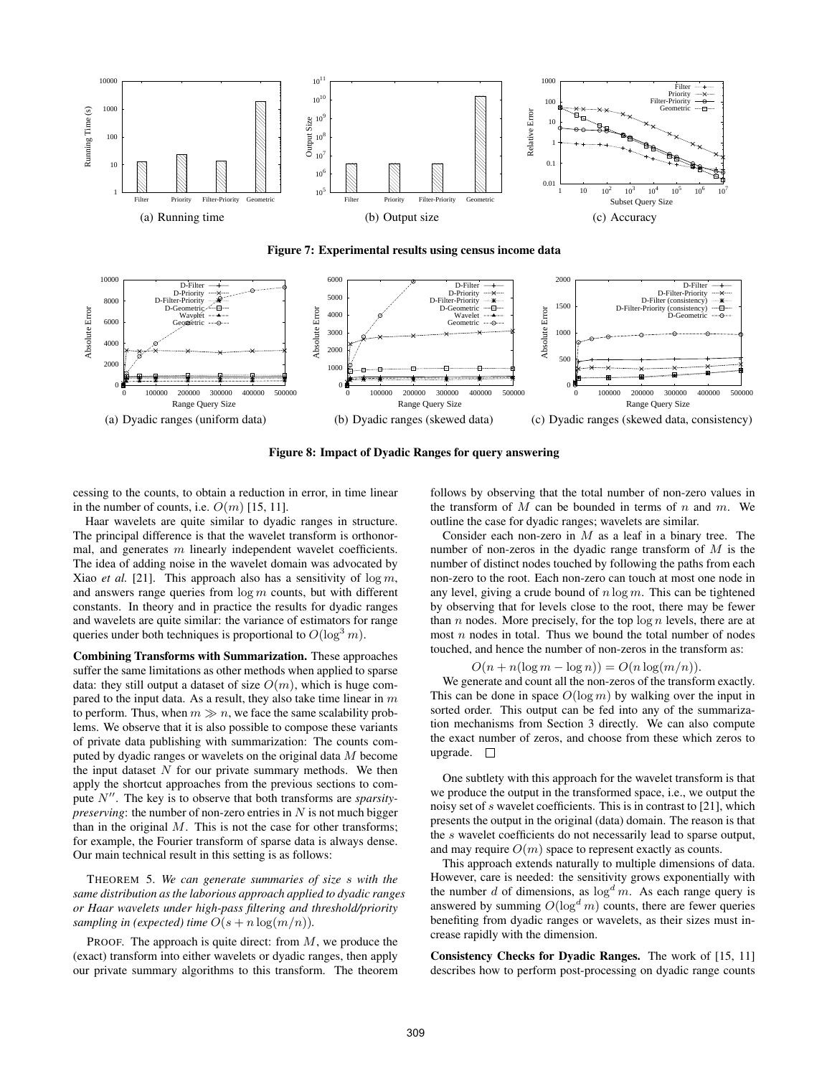

Figure 7: Experimental results using census income data



Figure 8: Impact of Dyadic Ranges for query answering

cessing to the counts, to obtain a reduction in error, in time linear in the number of counts, i.e.  $O(m)$  [15, 11].

Haar wavelets are quite similar to dyadic ranges in structure. The principal difference is that the wavelet transform is orthonormal, and generates  $m$  linearly independent wavelet coefficients. The idea of adding noise in the wavelet domain was advocated by Xiao *et al.* [21]. This approach also has a sensitivity of  $\log m$ , and answers range queries from  $\log m$  counts, but with different constants. In theory and in practice the results for dyadic ranges and wavelets are quite similar: the variance of estimators for range queries under both techniques is proportional to  $O(\log^3 m)$ .

Combining Transforms with Summarization. These approaches suffer the same limitations as other methods when applied to sparse data: they still output a dataset of size  $O(m)$ , which is huge compared to the input data. As a result, they also take time linear in  $m$ to perform. Thus, when  $m \gg n$ , we face the same scalability problems. We observe that it is also possible to compose these variants of private data publishing with summarization: The counts computed by dyadic ranges or wavelets on the original data M become the input dataset  $N$  for our private summary methods. We then apply the shortcut approaches from the previous sections to compute  $N''$ . The key is to observe that both transforms are *sparsitypreserving*: the number of non-zero entries in  $N$  is not much bigger than in the original  $M$ . This is not the case for other transforms; for example, the Fourier transform of sparse data is always dense. Our main technical result in this setting is as follows:

THEOREM 5. *We can generate summaries of size* s *with the same distribution as the laborious approach applied to dyadic ranges or Haar wavelets under high-pass filtering and threshold/priority sampling in (expected) time*  $O(s + n \log(m/n))$ *.* 

PROOF. The approach is quite direct: from  $M$ , we produce the (exact) transform into either wavelets or dyadic ranges, then apply our private summary algorithms to this transform. The theorem follows by observing that the total number of non-zero values in the transform of  $M$  can be bounded in terms of  $n$  and  $m$ . We outline the case for dyadic ranges; wavelets are similar.

Consider each non-zero in  $M$  as a leaf in a binary tree. The number of non-zeros in the dyadic range transform of M is the number of distinct nodes touched by following the paths from each non-zero to the root. Each non-zero can touch at most one node in any level, giving a crude bound of  $n \log m$ . This can be tightened by observing that for levels close to the root, there may be fewer than *n* nodes. More precisely, for the top  $\log n$  levels, there are at most  $n$  nodes in total. Thus we bound the total number of nodes touched, and hence the number of non-zeros in the transform as:

$$
O(n + n(\log m - \log n)) = O(n \log(m/n)).
$$

We generate and count all the non-zeros of the transform exactly. This can be done in space  $O(\log m)$  by walking over the input in sorted order. This output can be fed into any of the summarization mechanisms from Section 3 directly. We can also compute the exact number of zeros, and choose from these which zeros to upgrade.  $\square$ 

One subtlety with this approach for the wavelet transform is that we produce the output in the transformed space, i.e., we output the noisy set of s wavelet coefficients. This is in contrast to [21], which presents the output in the original (data) domain. The reason is that the s wavelet coefficients do not necessarily lead to sparse output, and may require  $O(m)$  space to represent exactly as counts.

This approach extends naturally to multiple dimensions of data. However, care is needed: the sensitivity grows exponentially with the number d of dimensions, as  $\log^d m$ . As each range query is answered by summing  $O(\log^d m)$  counts, there are fewer queries benefiting from dyadic ranges or wavelets, as their sizes must increase rapidly with the dimension.

Consistency Checks for Dyadic Ranges. The work of [15, 11] describes how to perform post-processing on dyadic range counts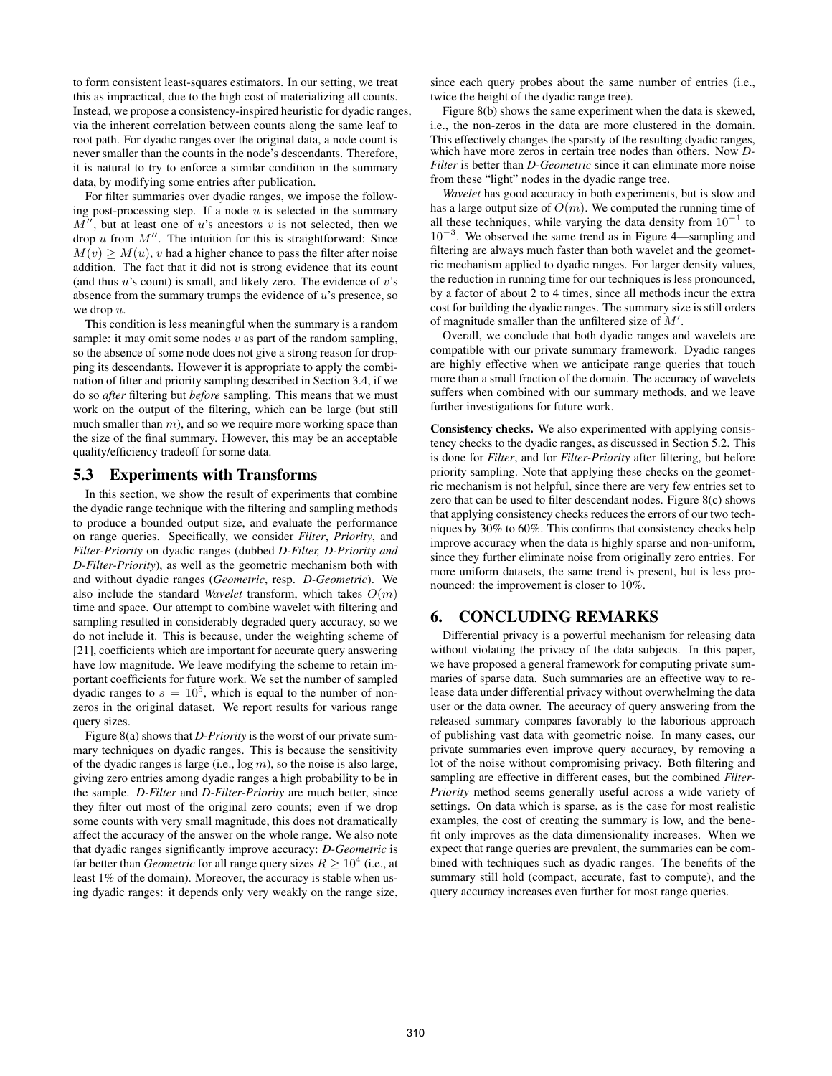to form consistent least-squares estimators. In our setting, we treat this as impractical, due to the high cost of materializing all counts. Instead, we propose a consistency-inspired heuristic for dyadic ranges, via the inherent correlation between counts along the same leaf to root path. For dyadic ranges over the original data, a node count is never smaller than the counts in the node's descendants. Therefore, it is natural to try to enforce a similar condition in the summary data, by modifying some entries after publication.

For filter summaries over dyadic ranges, we impose the following post-processing step. If a node  $u$  is selected in the summary  $M''$ , but at least one of u's ancestors v is not selected, then we drop  $u$  from  $M''$ . The intuition for this is straightforward: Since  $M(v) \geq M(u)$ , v had a higher chance to pass the filter after noise addition. The fact that it did not is strong evidence that its count (and thus  $u$ 's count) is small, and likely zero. The evidence of  $v$ 's absence from the summary trumps the evidence of  $u$ 's presence, so we drop  $u$ .

This condition is less meaningful when the summary is a random sample: it may omit some nodes  $v$  as part of the random sampling, so the absence of some node does not give a strong reason for dropping its descendants. However it is appropriate to apply the combination of filter and priority sampling described in Section 3.4, if we do so *after* filtering but *before* sampling. This means that we must work on the output of the filtering, which can be large (but still much smaller than  $m$ ), and so we require more working space than the size of the final summary. However, this may be an acceptable quality/efficiency tradeoff for some data.

#### 5.3 Experiments with Transforms

In this section, we show the result of experiments that combine the dyadic range technique with the filtering and sampling methods to produce a bounded output size, and evaluate the performance on range queries. Specifically, we consider *Filter*, *Priority*, and *Filter-Priority* on dyadic ranges (dubbed *D-Filter, D-Priority and D-Filter-Priority*), as well as the geometric mechanism both with and without dyadic ranges (*Geometric*, resp. *D-Geometric*). We also include the standard *Wavelet* transform, which takes  $O(m)$ time and space. Our attempt to combine wavelet with filtering and sampling resulted in considerably degraded query accuracy, so we do not include it. This is because, under the weighting scheme of [21], coefficients which are important for accurate query answering have low magnitude. We leave modifying the scheme to retain important coefficients for future work. We set the number of sampled dyadic ranges to  $s = 10^5$ , which is equal to the number of nonzeros in the original dataset. We report results for various range query sizes.

Figure 8(a) shows that *D-Priority* is the worst of our private summary techniques on dyadic ranges. This is because the sensitivity of the dyadic ranges is large (i.e.,  $\log m$ ), so the noise is also large, giving zero entries among dyadic ranges a high probability to be in the sample. *D-Filter* and *D-Filter-Priority* are much better, since they filter out most of the original zero counts; even if we drop some counts with very small magnitude, this does not dramatically affect the accuracy of the answer on the whole range. We also note that dyadic ranges significantly improve accuracy: *D-Geometric* is far better than *Geometric* for all range query sizes  $R \geq 10^4$  (i.e., at least 1% of the domain). Moreover, the accuracy is stable when using dyadic ranges: it depends only very weakly on the range size,

since each query probes about the same number of entries (i.e., twice the height of the dyadic range tree).

Figure 8(b) shows the same experiment when the data is skewed, i.e., the non-zeros in the data are more clustered in the domain. This effectively changes the sparsity of the resulting dyadic ranges, which have more zeros in certain tree nodes than others. Now *D-Filter* is better than *D-Geometric* since it can eliminate more noise from these "light" nodes in the dyadic range tree.

*Wavelet* has good accuracy in both experiments, but is slow and has a large output size of  $O(m)$ . We computed the running time of all these techniques, while varying the data density from  $10^{-1}$  to 10<sup>−</sup><sup>3</sup> . We observed the same trend as in Figure 4—sampling and filtering are always much faster than both wavelet and the geometric mechanism applied to dyadic ranges. For larger density values, the reduction in running time for our techniques is less pronounced, by a factor of about 2 to 4 times, since all methods incur the extra cost for building the dyadic ranges. The summary size is still orders of magnitude smaller than the unfiltered size of  $M'$ .

Overall, we conclude that both dyadic ranges and wavelets are compatible with our private summary framework. Dyadic ranges are highly effective when we anticipate range queries that touch more than a small fraction of the domain. The accuracy of wavelets suffers when combined with our summary methods, and we leave further investigations for future work.

Consistency checks. We also experimented with applying consistency checks to the dyadic ranges, as discussed in Section 5.2. This is done for *Filter*, and for *Filter-Priority* after filtering, but before priority sampling. Note that applying these checks on the geometric mechanism is not helpful, since there are very few entries set to zero that can be used to filter descendant nodes. Figure 8(c) shows that applying consistency checks reduces the errors of our two techniques by 30% to 60%. This confirms that consistency checks help improve accuracy when the data is highly sparse and non-uniform, since they further eliminate noise from originally zero entries. For more uniform datasets, the same trend is present, but is less pronounced: the improvement is closer to 10%.

## 6. CONCLUDING REMARKS

Differential privacy is a powerful mechanism for releasing data without violating the privacy of the data subjects. In this paper, we have proposed a general framework for computing private summaries of sparse data. Such summaries are an effective way to release data under differential privacy without overwhelming the data user or the data owner. The accuracy of query answering from the released summary compares favorably to the laborious approach of publishing vast data with geometric noise. In many cases, our private summaries even improve query accuracy, by removing a lot of the noise without compromising privacy. Both filtering and sampling are effective in different cases, but the combined *Filter-Priority* method seems generally useful across a wide variety of settings. On data which is sparse, as is the case for most realistic examples, the cost of creating the summary is low, and the benefit only improves as the data dimensionality increases. When we expect that range queries are prevalent, the summaries can be combined with techniques such as dyadic ranges. The benefits of the summary still hold (compact, accurate, fast to compute), and the query accuracy increases even further for most range queries.